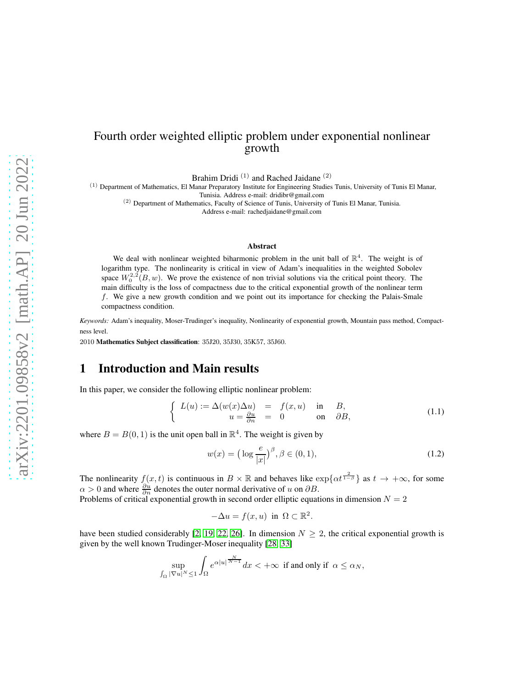# Fourth order weighted elliptic problem under exponential nonlinear growth

Brahim Dridi<sup>(1)</sup> and Rached Jaidane<sup>(2)</sup>

(1) Department of Mathematics, El Manar Preparatory Institute for Engineering Studies Tunis, University of Tunis El Manar, Tunisia. Address e-mail: dridibr@gmail.com

(2) Department of Mathematics, Faculty of Science of Tunis, University of Tunis El Manar, Tunisia.

Address e-mail: rachedjaidane@gmail.com

#### Abstract

We deal with nonlinear weighted biharmonic problem in the unit ball of  $\mathbb{R}^4$ . The weight is of logarithm type. The nonlinearity is critical in view of Adam's inequalities in the weighted Sobolev space  $W_0^{2,2}(B, w)$ . We prove the existence of non trivial solutions via the critical point theory. The main difficulty is the loss of compactness due to the critical exponential growth of the nonlinear term f. We give a new growth condition and we point out its importance for checking the Palais-Smale compactness condition.

*Keywords:* Adam's inequality, Moser-Trudinger's inequality, Nonlinearity of exponential growth, Mountain pass method, Compactness level.

2010 Mathematics Subject classification: 35J20, 35J30, 35K57, 35J60.

### 1 Introduction and Main results

In this paper, we consider the following elliptic nonlinear problem:

<span id="page-0-1"></span>
$$
\begin{cases}\nL(u) := \Delta(w(x)\Delta u) = f(x, u) & \text{in} \quad B, \\
u = \frac{\partial u}{\partial n} = 0 & \text{on} \quad \partial B,\n\end{cases}
$$
\n(1.1)

where  $B = B(0, 1)$  is the unit open ball in  $\mathbb{R}^4$ . The weight is given by

<span id="page-0-0"></span>
$$
w(x) = \left(\log \frac{e}{|x|}\right)^{\beta}, \beta \in (0, 1), \tag{1.2}
$$

The nonlinearity  $f(x, t)$  is continuous in  $B \times \mathbb{R}$  and behaves like  $\exp\{\alpha t^{\frac{2}{1-\beta}}\}$  as  $t \to +\infty$ , for some  $\alpha > 0$  and where  $\frac{\partial u}{\partial n}$  denotes the outer normal derivative of u on  $\partial B$ .

Problems of critical exponential growth in second order elliptic equations in dimension  $N = 2$ 

$$
-\Delta u = f(x, u) \text{ in } \Omega \subset \mathbb{R}^2.
$$

have been studied considerably [\[2,](#page-23-0) [19,](#page-24-0) [22,](#page-25-0) [26\]](#page-25-1). In dimension  $N \geq 2$ , the critical exponential growth is given by the well known Trudinger-Moser inequality [\[28,](#page-25-2) [33\]](#page-25-3)

$$
\sup_{\int_{\Omega} |\nabla u|^N \leq 1} \int_{\Omega} e^{\alpha |u|^{\frac{N}{N-1}}} dx < +\infty \text{ if and only if } \alpha \leq \alpha_N,
$$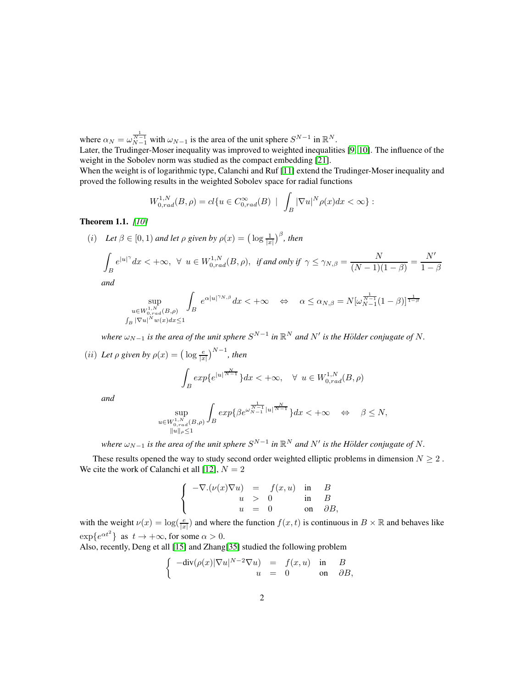where  $\alpha_N = \omega_{N-1}^{\frac{1}{N-1}}$  with  $\omega_{N-1}$  is the area of the unit sphere  $S^{N-1}$  in  $\mathbb{R}^N$ .

Later, the Trudinger-Moser inequality was improved to weighted inequalities [\[9,](#page-24-1) [10\]](#page-24-2). The influence of the weight in the Sobolev norm was studied as the compact embedding [\[21\]](#page-25-4).

When the weight is of logarithmic type, Calanchi and Ruf [\[11\]](#page-24-3) extend the Trudinger-Moser inequality and proved the following results in the weighted Sobolev space for radial functions

$$
W_{0,rad}^{1,N}(B,\rho) = cl\{u \in C_{0,rad}^{\infty}(B) \mid \int_{B} |\nabla u|^{N} \rho(x) dx < \infty\} :
$$

#### Theorem 1.1. *[\[10\]](#page-24-2)*

(*i*) Let  $\beta \in [0, 1)$  and let  $\rho$  given by  $\rho(x) = \left(\log \frac{1}{|x|}\right)^{\beta}$ , then

$$
\int_{B} e^{|u|^{\gamma}} dx < +\infty, \ \forall \ u \in W_{0,rad}^{1,N}(B,\rho), \ \text{ if and only if} \ \gamma \leq \gamma_{N,\beta} = \frac{N}{(N-1)(1-\beta)} = \frac{N'}{1-\beta}
$$

*and*

$$
\sup_{\substack{u \in W^{1,N}_{0,rad}(B,\rho) \\ \int_B |\nabla u|^N w(x) dx \le 1}} \int_B e^{\alpha |u|^{\gamma_N} \beta} dx < +\infty \quad \Leftrightarrow \quad \alpha \le \alpha_{N,\beta} = N [\omega^{\frac{1}{N-1}}_{N-1} (1-\beta)]^{\frac{1}{1-\beta}}
$$

where  $\omega_{N-1}$  is the area of the unit sphere  $S^{N-1}$  in  $\mathbb{R}^N$  and  $N'$  is the Hölder conjugate of N.

(ii) Let 
$$
\rho
$$
 given by  $\rho(x) = (\log \frac{e}{|x|})^{N-1}$ , then  
\n
$$
\int_B exp\{e^{|u|^\frac{N}{N-1}}\}dx < +\infty, \quad \forall u \in W_{0,rad}^{1,N}(B, \rho)
$$
\nand

*and*

$$
\sup_{\substack{u \in W_{0,rad}^{1,N}(B,\rho) \\ \|u\|_{\rho} \le 1}} \int_{B} exp\{\beta e^{\omega \frac{1}{N-1}} |u|^{\frac{N}{N-1}}\} dx < +\infty \quad \Leftrightarrow \quad \beta \le N,
$$

where  $\omega_{N-1}$  is the area of the unit sphere  $S^{N-1}$  in  $\mathbb{R}^N$  and  $N'$  is the Hölder conjugate of N.

These results opened the way to study second order weighted elliptic problems in dimension  $N \geq 2$ . We cite the work of Calanchi et all [\[12\]](#page-24-4),  $N = 2$ 

$$
\label{eq:1.1} \left\{ \begin{array}{rcl} -\nabla.(\nu(x)\nabla u) &=&f(x,u) \quad \text{in} \quad B \\ u &> & 0 \quad \quad \text{in} \quad B \\ u &=& 0 \quad \quad \text{on} \quad \partial B, \end{array} \right.
$$

with the weight  $\nu(x) = \log(\frac{e}{|x|})$  and where the function  $f(x, t)$  is continuous in  $B \times \mathbb{R}$  and behaves like  $\exp\{e^{\alpha t^2}\}\$ as  $t \to +\infty$ , for some  $\alpha > 0$ .

Also, recently, Deng et all [\[15\]](#page-24-5) and Zhang[\[35\]](#page-26-0) studied the following problem

$$
\begin{cases}\n-\text{div}(\rho(x)|\nabla u|^{N-2}\nabla u) &= f(x,u) & \text{in} \quad B \\
u &= 0 & \text{on} \quad \partial B,\n\end{cases}
$$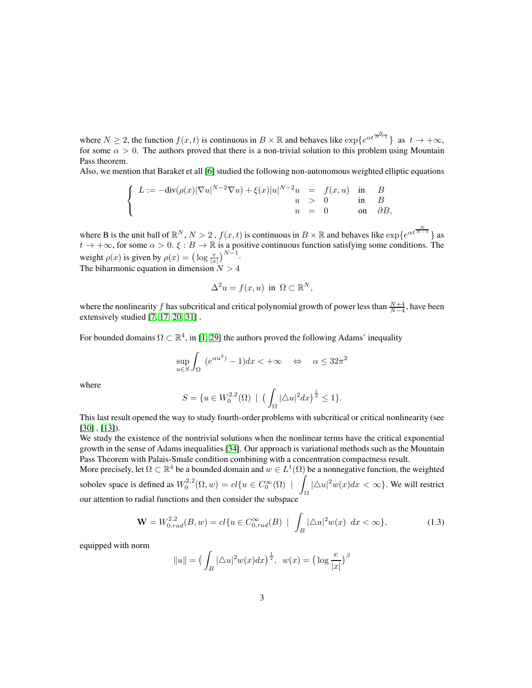where  $N \ge 2$ , the function  $f(x, t)$  is continuous in  $B \times \mathbb{R}$  and behaves like  $\exp\{e^{\alpha t \frac{N-1}{N-1}}\}\$  as  $t \to +\infty$ , for some  $\alpha > 0$ . The authors proved that there is a non-trivial solution to this problem using Mountain Pass theorem.

Also, we mention that Baraket et all [\[6\]](#page-24-6) studied the following non-autonomous weighted elliptic equations

$$
\label{eq:2.1} \left\{ \begin{array}{rcl} L := -\text{div}(\rho(x)|\nabla u|^{N-2}\nabla u) + \xi(x)|u|^{N-2}u &=&f(x,u) \quad \text{in} \quad B \\ u &>0 \quad \quad \text{in} \quad B \\ u &=& 0 \quad \quad \text{on} \quad \partial B, \end{array} \right.
$$

where B is the unit ball of  $\mathbb{R}^N$ ,  $N > 2$ ,  $f(x, t)$  is continuous in  $B \times \mathbb{R}$  and behaves like  $\exp\{e^{\alpha t \frac{N-1}{N-1}}\}$  as  $t \to +\infty$ , for some  $\alpha > 0$ .  $\xi : B \to \mathbb{R}$  is a positive continuous function satisfying some conditions. The weight  $\rho(x)$  is given by  $\rho(x) = \left(\log \frac{e}{|x|}\right)^{N-1}$ . The biharmonic equation in dimension  $N > 4$ 

 $\Delta^2 u = f(x, u)$  in  $\Omega \subset \mathbb{R}^N$ ,

where the nonlinearity f has subcritical and critical polynomial growth of power less than  $\frac{N+4}{N-4}$ , have been extensively studied [\[7,](#page-24-7) [17,](#page-24-8) [20,](#page-25-5) [31\]](#page-25-6) .

For bounded domains  $\Omega \subset \mathbb{R}^4$ , in [\[1,](#page-23-1) [29\]](#page-25-7) the authors proved the following Adams' inequality

$$
\sup_{u \in S} \int_{\Omega} (e^{\alpha u^2}) - 1) dx < +\infty \quad \Leftrightarrow \quad \alpha \le 32\pi^2
$$

where

$$
S = \{ u \in W_0^{2,2}(\Omega) \mid \left( \int_{\Omega} |\Delta u|^2 dx \right)^{\frac{1}{2}} \le 1 \}.
$$

This last result opened the way to study fourth-order problems with subcritical or critical nonlinearity (see [\[30\]](#page-25-8) , [\[13\]](#page-24-9)).

We study the existence of the nontrivial solutions when the nonlinear terms have the critical exponential growth in the sense of Adams inequalities [\[34\]](#page-25-9). Our approach is variational methods such as the Mountain Pass Theorem with Palais-Smale condition combining with a concentration compactness result.

More precisely, let  $\Omega \subset \mathbb{R}^4$  be a bounded domain and  $w \in L^1(\Omega)$  be a nonnegative function, the weighted sobolev space is defined as  $W_0^{2,2}(\Omega,w) = cl\{u \in C_0^{\infty}(\Omega) \mid \right)$  $\int_{\Omega} |\Delta u|^2 w(x) dx < \infty$ . We will restrict our attention to radial functions and then consider the subspace

$$
\mathbf{W} = W_{0,rad}^{2,2}(B, w) = cl\{u \in C_{0,rad}^{\infty}(B) \mid \int_{B} |\Delta u|^2 w(x) dx < \infty\},\tag{1.3}
$$

equipped with norm

$$
||u|| = \left(\int_B |\Delta u|^2 w(x) dx\right)^{\frac{1}{2}}, \ w(x) = \left(\log \frac{e}{|x|}\right)^{\beta}
$$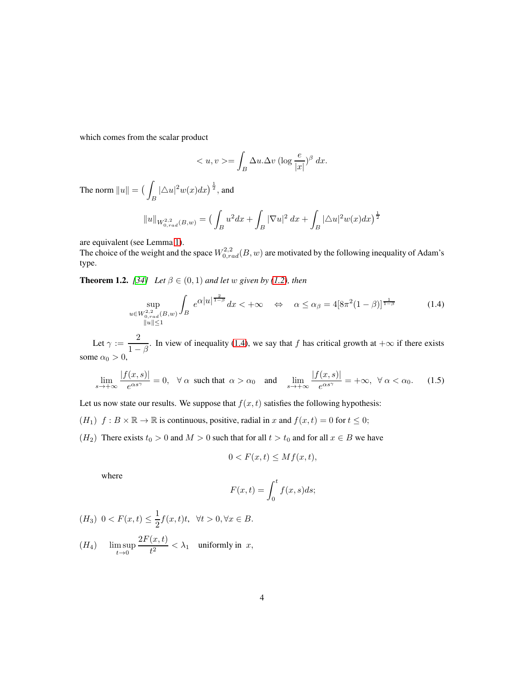which comes from the scalar product

$$
\langle u, v \rangle = \int_B \Delta u \cdot \Delta v \left( \log \frac{e}{|x|} \right)^{\beta} dx.
$$

The norm  $||u|| = ($  $\int_B |\triangle u|^2 w(x) dx \big)^{\frac{1}{2}}$ , and

$$
||u||_{W^{2,2}_{0,rad}(B,w)} = \left(\int_B u^2 dx + \int_B |\nabla u|^2 dx + \int_B |\Delta u|^2 w(x) dx\right)^{\frac{1}{2}}
$$

are equivalent (see Lemma [1\)](#page-6-0).

The choice of the weight and the space  $W_{0,rad}^{2,2}(B, w)$  are motivated by the following inequality of Adam's type.

<span id="page-3-1"></span>**Theorem 1.2.** *[\[34\]](#page-25-9) Let*  $\beta \in (0,1)$  *and let* w *given by* [\(1.2\)](#page-0-0)*, then* 

<span id="page-3-0"></span>
$$
\sup_{\substack{u \in W_{0,rad}^{2,2}(B,w) \\ \|u\| \le 1}} \int_{B} e^{\alpha |u|^{\frac{2}{1-\beta}}} dx < +\infty \quad \Leftrightarrow \quad \alpha \le \alpha_{\beta} = 4[8\pi^2(1-\beta)]^{\frac{1}{1-\beta}} \tag{1.4}
$$

Let  $\gamma := \frac{2}{1}$  $\frac{2}{1-\beta}$ . In view of inequality [\(1.4\)](#page-3-0), we say that f has critical growth at  $+\infty$  if there exists some  $\alpha_0 > 0$ ,

<span id="page-3-2"></span>
$$
\lim_{s \to +\infty} \frac{|f(x,s)|}{e^{\alpha s^{\gamma}}} = 0, \quad \forall \ \alpha \ \text{ such that } \ \alpha > \alpha_0 \quad \text{ and } \quad \lim_{s \to +\infty} \frac{|f(x,s)|}{e^{\alpha s^{\gamma}}} = +\infty, \quad \forall \ \alpha < \alpha_0. \tag{1.5}
$$

Let us now state our results. We suppose that  $f(x, t)$  satisfies the following hypothesis:

- $(H_1)$   $f : B \times \mathbb{R} \to \mathbb{R}$  is continuous, positive, radial in x and  $f(x, t) = 0$  for  $t \le 0$ ;
- ( $H_2$ ) There exists  $t_0 > 0$  and  $M > 0$  such that for all  $t > t_0$  and for all  $x \in B$  we have

$$
0 < F(x, t) \leq Mf(x, t),
$$

where

$$
F(x,t) = \int_0^t f(x,s)ds;
$$

$$
(H_3) \ \ 0 < F(x,t) \le \frac{1}{2} f(x,t)t, \ \ \forall t > 0, \forall x \in B.
$$

 $(H_4)$  lim sup  $t\rightarrow 0$  $2F(x,t)$  $\frac{d(x, y)}{dt^2} < \lambda_1$  uniformly in x,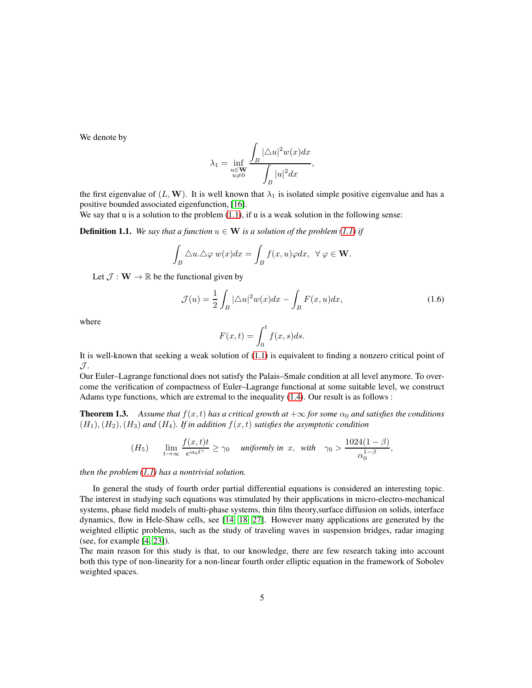We denote by

$$
\lambda_1 = \inf_{\substack{u \in \mathbf{W} \\ u \neq 0}} \frac{\displaystyle \int_B |\triangle u|^2 w(x) dx}{\displaystyle \int_B |u|^2 dx},
$$

the first eigenvalue of  $(L, W)$ . It is well known that  $\lambda_1$  is isolated simple positive eigenvalue and has a positive bounded associated eigenfunction, [\[16\]](#page-24-10).

We say that u is a solution to the problem  $(1.1)$ , if u is a weak solution in the following sense:

**Definition 1.1.** *We say that a function*  $u \in W$  *is a solution of the problem* [\(1.1\)](#page-0-1) *if* 

$$
\int_B \triangle u. \triangle \varphi \, w(x) dx = \int_B f(x, u) \varphi dx, \ \ \forall \ \varphi \in \mathbf{W}.
$$

Let  $\mathcal{J}: \mathbf{W} \to \mathbb{R}$  be the functional given by

<span id="page-4-0"></span>
$$
\mathcal{J}(u) = \frac{1}{2} \int_B |\Delta u|^2 w(x) dx - \int_B F(x, u) dx,
$$
\n(1.6)

where

$$
F(x,t) = \int_0^t f(x,s)ds.
$$

It is well-known that seeking a weak solution of [\(1.1\)](#page-0-1) is equivalent to finding a nonzero critical point of  $\mathcal{J}.$ 

Our Euler–Lagrange functional does not satisfy the Palais–Smale condition at all level anymore. To overcome the verification of compactness of Euler–Lagrange functional at some suitable level, we construct Adams type functions, which are extremal to the inequality [\(1.4\)](#page-3-0). Our result is as follows :

<span id="page-4-1"></span>**Theorem 1.3.** *Assume that*  $f(x, t)$  *has a critical growth at*  $+\infty$  *for some*  $\alpha_0$  *and satisfies the conditions*  $(H_1), (H_2), (H_3)$  *and*  $(H_4)$ *. If in addition*  $f(x, t)$  *satisfies the asymptotic condition* 

$$
(H_5) \qquad \lim_{t \to \infty} \frac{f(x,t)t}{e^{\alpha_0 t^{\gamma}}} \ge \gamma_0 \quad \text{ uniformly in } x, \text{ with } \quad \gamma_0 > \frac{1024(1-\beta)}{\alpha_0^{1-\beta}},
$$

*then the problem [\(1.1\)](#page-0-1) has a nontrivial solution.*

In general the study of fourth order partial differential equations is considered an interesting topic. The interest in studying such equations was stimulated by their applications in micro-electro-mechanical systems, phase field models of multi-phase systems, thin film theory,surface diffusion on solids, interface dynamics, flow in Hele-Shaw cells, see [\[14,](#page-24-11) [18,](#page-24-12) [27\]](#page-25-10). However many applications are generated by the weighted elliptic problems, such as the study of traveling waves in suspension bridges, radar imaging (see, for example [\[4,](#page-23-2) [23\]](#page-25-11)).

The main reason for this study is that, to our knowledge, there are few research taking into account both this type of non-linearity for a non-linear fourth order elliptic equation in the framework of Sobolev weighted spaces.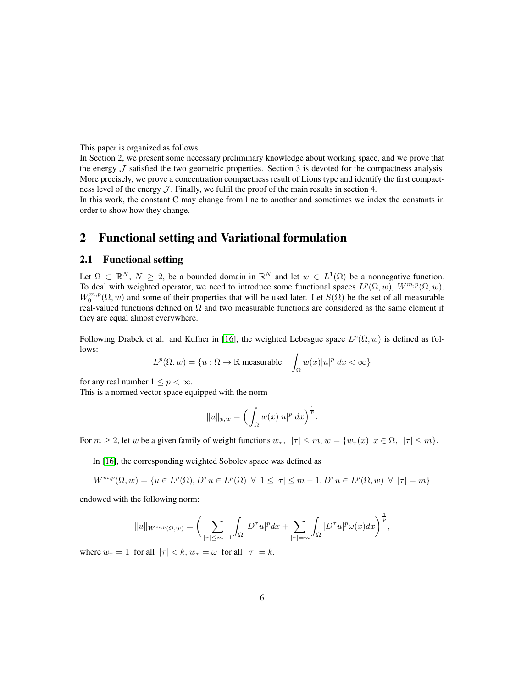This paper is organized as follows:

In Section 2, we present some necessary preliminary knowledge about working space, and we prove that the energy  $\mathcal J$  satisfied the two geometric properties. Section 3 is devoted for the compactness analysis. More precisely, we prove a concentration compactness result of Lions type and identify the first compactness level of the energy  $J$ . Finally, we fulfil the proof of the main results in section 4.

In this work, the constant C may change from line to another and sometimes we index the constants in order to show how they change.

## 2 Functional setting and Variational formulation

### 2.1 Functional setting

Let  $\Omega \subset \mathbb{R}^N$ ,  $N \ge 2$ , be a bounded domain in  $\mathbb{R}^N$  and let  $w \in L^1(\Omega)$  be a nonnegative function. To deal with weighted operator, we need to introduce some functional spaces  $L^p(\Omega, w)$ ,  $W^{m,p}(\Omega, w)$ ,  $W_0^{m,p}(\Omega, w)$  and some of their properties that will be used later. Let  $S(\hat{\Omega})$  be the set of all measurable real-valued functions defined on  $\Omega$  and two measurable functions are considered as the same element if they are equal almost everywhere.

Following Drabek et al. and Kufner in [\[16\]](#page-24-10), the weighted Lebesgue space  $L^p(\Omega, w)$  is defined as follows:

$$
L^p(\Omega, w) = \{u : \Omega \to \mathbb{R} \text{ measurable}; \quad \int_{\Omega} w(x)|u|^p dx < \infty\}
$$

for any real number  $1 \leq p < \infty$ .

This is a normed vector space equipped with the norm

$$
||u||_{p,w} = \left(\int_{\Omega} w(x)|u|^p dx\right)^{\frac{1}{p}}.
$$

For  $m \ge 2$ , let w be a given family of weight functions  $w_{\tau}$ ,  $|\tau| \le m$ ,  $w = \{w_{\tau}(x) \mid x \in \Omega, |\tau| \le m\}$ .

In [\[16\]](#page-24-10), the corresponding weighted Sobolev space was defined as

$$
W^{m,p}(\Omega, w) = \{ u \in L^p(\Omega), D^\tau u \in L^p(\Omega) \ \forall \ 1 \le |\tau| \le m - 1, D^\tau u \in L^p(\Omega, w) \ \forall \ |\tau| = m \}
$$

endowed with the following norm:

$$
||u||_{W^{m,p}(\Omega,w)} = \bigg(\sum_{|\tau| \leq m-1} \int_{\Omega} |D^{\tau}u|^p dx + \sum_{|\tau|=m} \int_{\Omega} |D^{\tau}u|^p \omega(x) dx\bigg)^{\frac{1}{p}},
$$

where  $w_{\tau} = 1$  for all  $|\tau| < k$ ,  $w_{\tau} = \omega$  for all  $|\tau| = k$ .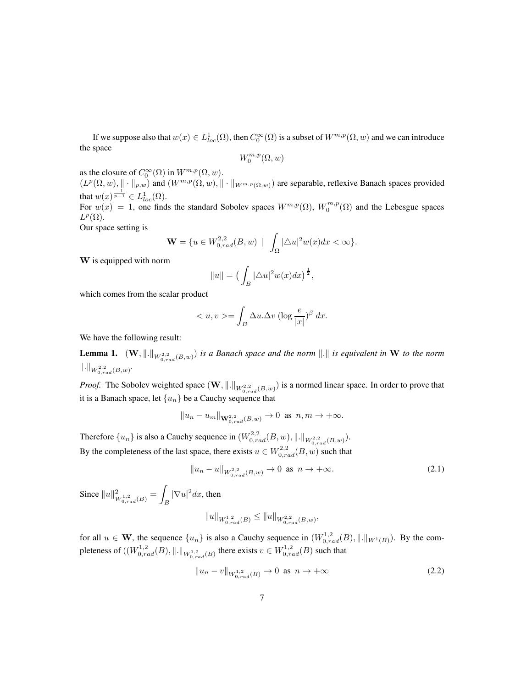If we suppose also that  $w(x) \in L^1_{loc}(\Omega)$ , then  $C_0^{\infty}(\Omega)$  is a subset of  $W^{m,p}(\Omega,w)$  and we can introduce the space

$$
W^{m,p}_0(\Omega,w)
$$

as the closure of  $C_0^{\infty}(\Omega)$  in  $W^{m,p}(\Omega,w)$ .

 $(L^p(\Omega, w), \|\cdot\|_{p,w})$  and  $(W^{m,p}(\Omega, w), \|\cdot\|_{W^{m,p}(\Omega, w)})$  are separable, reflexive Banach spaces provided that  $w(x) = \frac{-1}{p-1} \in L^1_{loc}(\Omega)$ .

For  $w(x) = 1$ , one finds the standard Sobolev spaces  $W^{m,p}(\Omega)$ ,  $W_0^{m,p}(\Omega)$  and the Lebesgue spaces  $L^p(\Omega)$ .

Our space setting is

$$
\mathbf{W} = \{ u \in W^{2,2}_{0,rad}(B,w) \mid \int_{\Omega} |\Delta u|^2 w(x) dx < \infty \}.
$$

W is equipped with norm

$$
||u|| = \left(\int_B |\triangle u|^2 w(x) dx\right)^{\frac{1}{2}},
$$

which comes from the scalar product

$$
\langle u, v \rangle = \int_B \Delta u \cdot \Delta v \left( \log \frac{e}{|x|} \right)^{\beta} dx.
$$

We have the following result:

<span id="page-6-0"></span>**Lemma 1.**  $(W, \|\cdot\|_{W^{2,2}_{0,rad}(B,w)})$  *is a Banach space and the norm*  $\|\cdot\|$  *is equivalent in* W *to the norm*  $\|.\|_{W^{2,2}_{0,rad}(B,w)}.$ 

*Proof.* The Sobolev weighted space  $(W, \|\cdot\|_{W^{2,2}_{0,rad}(B,w)})$  is a normed linear space. In order to prove that it is a Banach space, let  $\{u_n\}$  be a Cauchy sequence that

$$
||u_n - u_m||_{\mathbf{W}_{0,rad}^{2,2}(B,w)} \to 0
$$
 as  $n, m \to +\infty$ .

Therefore  $\{u_n\}$  is also a Cauchy sequence in  $(W^{2,2}_{0,rad}(B,w), \|\cdot\|_{W^{2,2}_{0,rad}(B,w)}).$ By the completeness of the last space, there exists  $u \in W^{2,2}_{0,rad}(B, w)$  such that

<span id="page-6-1"></span>
$$
||u_n - u||_{W^{2,2}_{0,rad}(B,w)} \to 0 \text{ as } n \to +\infty.
$$
 (2.1)

Since  $||u||^2_{W^{1,2}_{0,rad}(B)} = \int$  $\int_B |\nabla u|^2 dx$ , then

$$
||u||_{W^{1,2}_{0,rad}(B)} \leq ||u||_{W^{2,2}_{0,rad}(B,w)},
$$

for all  $u \in \mathbf{W}$ , the sequence  $\{u_n\}$  is also a Cauchy sequence in  $(W_{0,rad}^{1,2}(B), \|\cdot\|_{W^1(B)})$ . By the completeness of  $((W^{1,2}_{0,rad}(B),\|.\|_{W^{1,2}_{0,rad}(B)})$  there exists  $v \in W^{1,2}_{0,rad}(B)$  such that

$$
||u_n - v||_{W^{1,2}_{0,rad}(B)} \to 0 \text{ as } n \to +\infty
$$
 (2.2)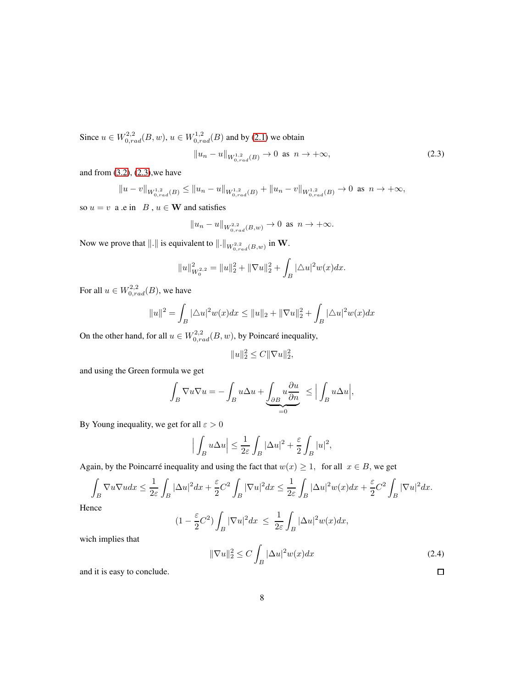Since  $u \in W^{2,2}_{0,rad}(B, w), u \in W^{1,2}_{0,rad}(B)$  and by [\(2.1\)](#page-6-1) we obtain

<span id="page-7-0"></span>
$$
||u_n - u||_{W^{1,2}_{0,rad}(B)} \to 0 \text{ as } n \to +\infty,
$$
\n(2.3)

and from  $(3.2)$ ,  $(2.3)$ , we have

$$
||u - v||_{W^{1,2}_{0,rad}(B)} \le ||u_n - u||_{W^{1,2}_{0,rad}(B)} + ||u_n - v||_{W^{1,2}_{0,rad}(B)} \to 0 \text{ as } n \to +\infty,
$$

so  $u = v$  a .e in  $B, u \in \mathbf{W}$  and satisfies

$$
||u_n - u||_{W^{2,2}_{0,rad}(B,w)} \to 0
$$
 as  $n \to +\infty$ .

Now we prove that  $\Vert . \Vert$  is equivalent to  $\Vert . \Vert_{W^{2,2}_{0,rad}(B,w)}$  in W.

$$
||u||_{W_0^{2,2}}^2 = ||u||_2^2 + ||\nabla u||_2^2 + \int_B |\triangle u|^2 w(x) dx.
$$

For all  $u \in W^{2,2}_{0,rad}(B)$ , we have

$$
||u||^{2} = \int_{B} |\triangle u|^{2} w(x) dx \le ||u||_{2} + ||\nabla u||_{2}^{2} + \int_{B} |\triangle u|^{2} w(x) dx
$$

On the other hand, for all  $u \in W^{2,2}_{0,rad}(B,w)$ , by Poincaré inequality,

$$
||u||_2^2 \le C||\nabla u||_2^2,
$$

and using the Green formula we get

$$
\int_B \nabla u \nabla u = -\int_B u \Delta u + \underbrace{\int_{\partial B} u \frac{\partial u}{\partial n}}_{=0} \le \Big| \int_B u \Delta u \Big|,
$$

By Young inequality, we get for all  $\varepsilon > 0$ 

$$
\Big|\int_B u \Delta u \Big| \leq \frac{1}{2\varepsilon} \int_B |\Delta u|^2 + \frac{\varepsilon}{2} \int_B |u|^2,
$$

Again, by the Poincarré inequality and using the fact that  $w(x) \ge 1$ , for all  $x \in B$ , we get

$$
\int_{B} \nabla u \nabla u dx \leq \frac{1}{2\varepsilon} \int_{B} |\Delta u|^2 dx + \frac{\varepsilon}{2} C^2 \int_{B} |\nabla u|^2 dx \leq \frac{1}{2\varepsilon} \int_{B} |\Delta u|^2 w(x) dx + \frac{\varepsilon}{2} C^2 \int_{B} |\nabla u|^2 dx.
$$

Hence

$$
(1 - \frac{\varepsilon}{2}C^2) \int_B |\nabla u|^2 dx \ \leq \ \frac{1}{2\varepsilon} \int_B |\Delta u|^2 w(x) dx,
$$

wich implies that

$$
\|\nabla u\|_2^2 \le C \int_B |\Delta u|^2 w(x) dx \tag{2.4}
$$

and it is easy to conclude.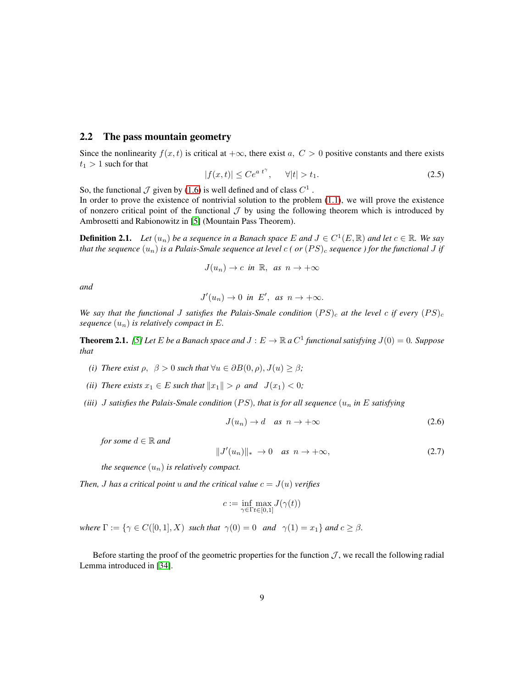#### 2.2 The pass mountain geometry

Since the nonlinearity  $f(x, t)$  is critical at  $+\infty$ , there exist a,  $C > 0$  positive constants and there exists  $t_1 > 1$  such for that

<span id="page-8-0"></span>
$$
|f(x,t)| \le Ce^{a\ t^{\gamma}}, \qquad \forall |t| > t_1. \tag{2.5}
$$

So, the functional  $\mathcal J$  given by [\(1.6\)](#page-4-0) is well defined and of class  $C^1$ .

In order to prove the existence of nontrivial solution to the problem  $(1.1)$ , we will prove the existence of nonzero critical point of the functional  $\mathcal J$  by using the following theorem which is introduced by Ambrosetti and Rabionowitz in [\[5\]](#page-23-3) (Mountain Pass Theorem).

**Definition 2.1.** Let  $(u_n)$  be a sequence in a Banach space E and  $J \in C^1(E, \mathbb{R})$  and let  $c \in \mathbb{R}$ . We say *that the sequence*  $(u_n)$  *is a Palais-Smale sequence at level*  $c$  ( or  $(PS)_c$  *sequence* ) for the functional J if

$$
J(u_n)\to c \ \ \text{in}\ \ \mathbb{R},\ \ \text{as}\ \ n\to +\infty
$$

*and*

$$
J'(u_n)\to 0 \text{ in } E', \text{ as } n\to+\infty.
$$

*We say that the functional J satisfies the Palais-Smale condition*  $(PS)_{c}$  *at the level c if every*  $(PS)_{c}$ *sequence*  $(u_n)$  *is relatively compact in E.* 

<span id="page-8-1"></span>**Theorem 2.1.** *[\[5\]](#page-23-3) Let*  $E$  *be a Banach space and*  $J : E \to \mathbb{R}$  *a*  $C^1$  *functional satisfying*  $J(0) = 0$ *. Suppose that*

- *(i)* There exist  $\rho$ ,  $\beta > 0$  such that  $\forall u \in \partial B(0, \rho), J(u) \geq \beta$ ;
- *(ii)* There exists  $x_1 \in E$  such that  $||x_1|| > \rho$  and  $J(x_1) < 0$ ;
- *(iii)* J satisfies the Palais-Smale condition (PS), that is for all sequence  $(u_n$  in E satisfying

$$
J(u_n) \to d \quad \text{as} \ \ n \to +\infty \tag{2.6}
$$

*for some*  $d \in \mathbb{R}$  *and* 

$$
||J'(u_n)||_* \to 0 \quad \text{as } n \to +\infty,
$$
\n(2.7)

*the sequence*  $(u_n)$  *is relatively compact.* 

*Then, J* has a critical point u and the critical value  $c = J(u)$  *verifies* 

$$
c:=\inf_{\gamma\in\Gamma t\in[0,1]}J(\gamma(t))
$$

*where*  $\Gamma := \{ \gamma \in C([0,1], X) \text{ such that } \gamma(0) = 0 \text{ and } \gamma(1) = x_1 \}$  *and*  $c \geq \beta$ *.* 

Before starting the proof of the geometric properties for the function  $J$ , we recall the following radial Lemma introduced in [\[34\]](#page-25-9).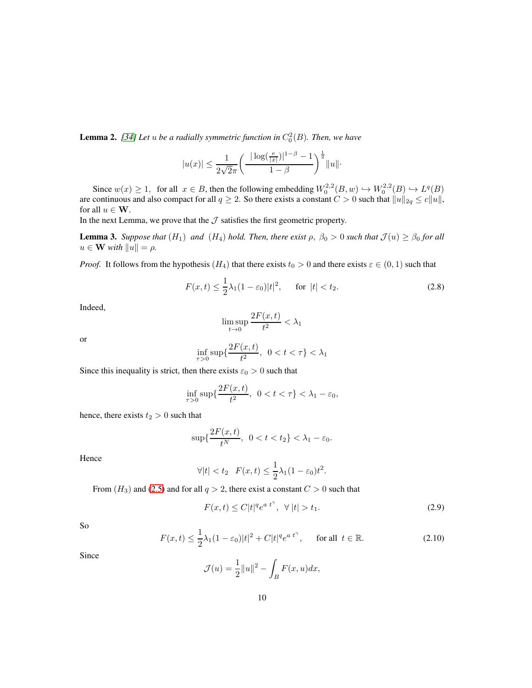**Lemma 2.** [\[34\]](#page-25-9) Let  $u$  be a radially symmetric function in  $C_0^2(B)$ . Then, we have

$$
|u(x)| \le \frac{1}{2\sqrt{2}\pi} \left( \frac{|\log(\frac{e}{|x|})|^{1-\beta} - 1}{1-\beta} \right)^{\frac{1}{2}} ||u||.
$$

Since  $w(x) \ge 1$ , for all  $x \in B$ , then the following embedding  $W_0^{2,2}(B, w) \hookrightarrow W_0^{2,2}(B) \hookrightarrow L^q(B)$ are continuous and also compact for all  $q \ge 2$ . So there exists a constant  $C > 0$  such that  $||u||_{2q} \le c||u||$ , for all  $u \in W$ .

In the next Lemma, we prove that the  $J$  satisfies the first geometric property.

<span id="page-9-0"></span>**Lemma 3.** *Suppose that*  $(H_1)$  *and*  $(H_4)$  *hold. Then, there exist*  $\rho$ ,  $\beta_0 > 0$  *such that*  $\mathcal{J}(u) \geq \beta_0$  *for all*  $u \in \mathbf{W}$  *with*  $||u|| = \rho$ .

*Proof.* It follows from the hypothesis  $(H_4)$  that there exists  $t_0 > 0$  and there exists  $\varepsilon \in (0,1)$  such that

$$
F(x,t) \le \frac{1}{2}\lambda_1(1-\varepsilon_0)|t|^2, \quad \text{for } |t| < t_2. \tag{2.8}
$$

Indeed,

$$
\limsup_{t \to 0} \frac{2F(x,t)}{t^2} < \lambda_1
$$

or

$$
\inf_{\tau>0}\sup\{\frac{2F(x,t)}{t^2},\ 0
$$

Since this inequality is strict, then there exists  $\varepsilon_0 > 0$  such that

$$
\inf_{\tau>0}\sup\{\frac{2F(x,t)}{t^2},\ 0
$$

hence, there exists  $t_2 > 0$  such that

$$
\sup\{\frac{2F(x,t)}{t^N}, \ 0 < t < t_2\} < \lambda_1 - \varepsilon_0.
$$

Hence

$$
\forall |t| < t_2 \quad F(x,t) \le \frac{1}{2}\lambda_1(1-\varepsilon_0)t^2.
$$

From  $(H_3)$  and [\(2.5\)](#page-8-0) and for all  $q > 2$ , there exist a constant  $C > 0$  such that

$$
F(x,t) \le C|t|^q e^{a t^{\gamma}}, \ \forall \ |t| > t_1.
$$
\n(2.9)

So

$$
F(x,t) \le \frac{1}{2}\lambda_1(1-\varepsilon_0)|t|^2 + C|t|^q e^{a\ t^\gamma}, \qquad \text{for all } t \in \mathbb{R}.\tag{2.10}
$$

Since

$$
\mathcal{J}(u) = \frac{1}{2}||u||^2 - \int_B F(x, u)dx,
$$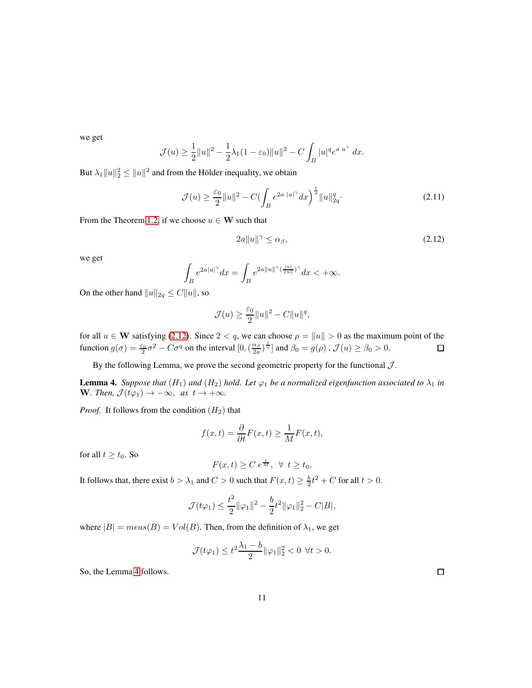we get

$$
\mathcal{J}(u) \ge \frac{1}{2}||u||^2 - \frac{1}{2}\lambda_1(1-\varepsilon_0)||u||^2 - C\int_B |u|^q e^{a|u|} dx.
$$

But  $\lambda_1 \|u\|_2^2 \leq \|u\|^2$  and from the Hölder inequality, we obtain

$$
\mathcal{J}(u) \ge \frac{\varepsilon_0}{2} \|u\|^2 - C \bigl(\int_B e^{2a \|u\|^{\gamma}} dx \bigr)^{\frac{1}{2}} \|u\|_{2q}^q. \tag{2.11}
$$

From the Theorem [1.2,](#page-3-1) if we choose  $u \in W$  such that

<span id="page-10-0"></span>
$$
2a\|u\|^{\gamma} \le \alpha_{\beta},\tag{2.12}
$$

we get

$$
\int_B e^{2a|u|^\gamma} dx = \int_B e^{2a||u||^\gamma (\frac{|u|}{||u||})^\gamma} dx < +\infty.
$$

On the other hand  $||u||_{2q} \leq C||u||$ , so

$$
\mathcal{J}(u) \ge \frac{\varepsilon_0}{2} ||u||^2 - C ||u||^q,
$$

for all  $u \in \mathbf{W}$  satisfying [\(2.12\)](#page-10-0). Since  $2 < q$ , we can choose  $\rho = ||u|| > 0$  as the maximum point of the function  $g(\sigma) = \frac{\varepsilon_0}{2} \sigma^2 - C \sigma^q$  on the interval  $[0, (\frac{\alpha_\beta}{2a})$  $\frac{\alpha_{\beta}}{2a}$   $\rangle^{\frac{1}{\gamma}}$  and  $\beta_0 = g(\rho)$  ,  $\mathcal{J}(u) \ge \beta_0 > 0$ .

By the following Lemma, we prove the second geometric property for the functional  $J$ .

<span id="page-10-1"></span>**Lemma 4.** *Suppose that*  $(H_1)$  *and*  $(H_2)$  *hold. Let*  $\varphi_1$  *be a normalized eigenfunction associated to*  $\lambda_1$  *in* W. Then,  $\mathcal{J}(t\varphi_1) \to -\infty$ , *as*  $t \to +\infty$ .

*Proof.* It follows from the condition  $(H_2)$  that

$$
f(x,t) = \frac{\partial}{\partial t} F(x,t) \ge \frac{1}{M} F(x,t),
$$

for all  $t \geq t_0$ . So

$$
F(x,t) \ge C e^{\frac{t}{M}}, \ \forall \ t \ge t_0.
$$

It follows that, there exist  $b > \lambda_1$  and  $C > 0$  such that  $F(x, t) \geq \frac{b}{2}t^2 + C$  for all  $t > 0$ .

$$
\mathcal{J}(t\varphi_1) \leq \frac{t^2}{2} \|\varphi_1\|^2 - \frac{b}{2} t^2 \|\varphi_1\|_2^2 - C|B|,
$$

where  $|B| = meas(B) = Vol(B)$ . Then, from the definition of  $\lambda_1$ , we get

$$
\mathcal{J}(t\varphi_1) \le t^2 \frac{\lambda_1 - b}{2} \|\varphi_1\|_2^2 < 0 \ \forall t > 0.
$$

So, the Lemma [4](#page-10-1) follows.

 $\Box$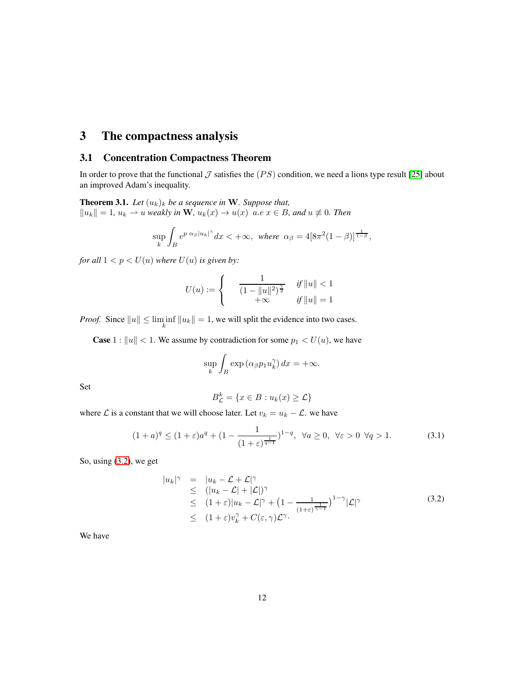# 3 The compactness analysis

### 3.1 Concentration Compactness Theorem

In order to prove that the functional  $\mathcal J$  satisfies the (PS) condition, we need a lions type result [\[25\]](#page-25-12) about an improved Adam's inequality.

<span id="page-11-1"></span>**Theorem 3.1.** Let  $(u_k)_k$  be a sequence in W. Suppose that,  $||u_k|| = 1$ ,  $u_k$  → *u weakly in* **W**,  $u_k(x)$  →  $u(x)$  *a.e x* ∈ *B*, *and*  $u \neq 0$ *. Then* 

$$
\sup_{k} \int_{B} e^{p \alpha_{\beta} |u_k|^{\gamma}} dx < +\infty, \text{ where } \alpha_{\beta} = 4[8\pi^2(1-\beta)]^{\frac{1}{1-\beta}},
$$

*for all*  $1 < p < U(u)$  *where*  $U(u)$  *is given by:* 

$$
U(u) := \begin{cases} \n\frac{1}{(1 - \|u\|^2)^{\frac{\gamma}{2}}} & \text{if } \|u\| < 1 \\ \n+\infty & \text{if } \|u\| = 1 \n\end{cases}
$$

*Proof.* Since  $||u|| \le \liminf_{k} ||u_k|| = 1$ , we will split the evidence into two cases.

**Case** 1 :  $||u|| < 1$ . We assume by contradiction for some  $p_1 < U(u)$ , we have

$$
\sup_{k} \int_{B} \exp\left(\alpha_{\beta} p_1 u_k^{\gamma}\right) dx = +\infty.
$$

Set

$$
B_{\mathcal{L}}^{k} = \{ x \in B : u_{k}(x) \geq \mathcal{L} \}
$$

where  $\mathcal L$  is a constant that we will choose later. Let  $v_k = u_k - \mathcal L$ . we have

$$
(1+a)^q \le (1+\varepsilon)a^q + (1-\frac{1}{(1+\varepsilon)^{\frac{1}{q-1}}})^{1-q}, \ \forall a \ge 0, \ \forall \varepsilon > 0 \ \forall q > 1.
$$
 (3.1)

So, using [\(3.2\)](#page-11-0), we get

<span id="page-11-0"></span>
$$
|u_k|^\gamma = |u_k - \mathcal{L} + \mathcal{L}|^\gamma
$$
  
\n
$$
\leq (|u_k - \mathcal{L}| + |\mathcal{L}|)^\gamma
$$
  
\n
$$
\leq (1 + \varepsilon)|u_k - \mathcal{L}|^\gamma + (1 - \frac{1}{(1+\varepsilon)^{\frac{1}{\gamma-1}}})^{1-\gamma}|\mathcal{L}|^\gamma
$$
  
\n
$$
\leq (1+\varepsilon)v_k^\gamma + C(\varepsilon, \gamma)\mathcal{L}^\gamma.
$$
\n(3.2)

We have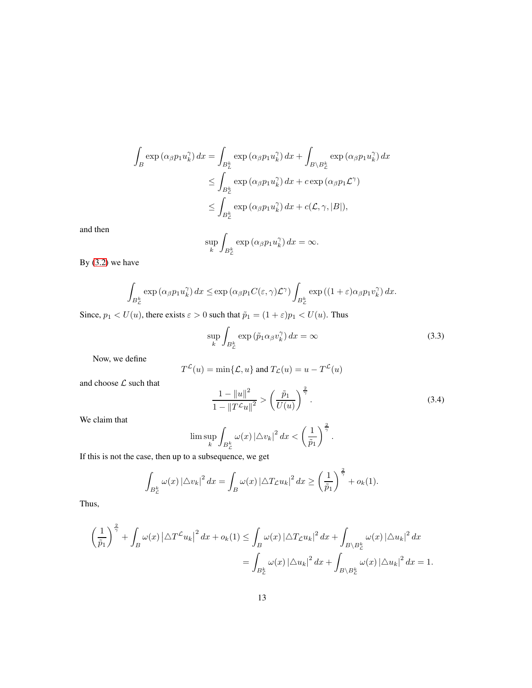$$
\int_{B} \exp\left(\alpha_{\beta} p_{1} u_{k}^{\gamma}\right) dx = \int_{B_{L}^{k}} \exp\left(\alpha_{\beta} p_{1} u_{k}^{\gamma}\right) dx + \int_{B \setminus B_{\mathcal{L}}^{k}} \exp\left(\alpha_{\beta} p_{1} u_{k}^{\gamma}\right) dx
$$
\n
$$
\leq \int_{B_{\mathcal{L}}^{k}} \exp\left(\alpha_{\beta} p_{1} u_{k}^{\gamma}\right) dx + c \exp\left(\alpha_{\beta} p_{1} \mathcal{L}^{\gamma}\right)
$$
\n
$$
\leq \int_{B_{\mathcal{L}}^{k}} \exp\left(\alpha_{\beta} p_{1} u_{k}^{\gamma}\right) dx + c(\mathcal{L}, \gamma, |B|),
$$

and then

$$
\sup_{k} \int_{B_{\mathcal{L}}^{k}} \exp\left(\alpha_{\beta} p_{1} u_{k}^{\gamma}\right) dx = \infty.
$$

By [\(3.2\)](#page-11-0) we have

$$
\int_{B_{\mathcal{L}}^k} \exp\left(\alpha_{\beta} p_1 u_k^{\gamma}\right) dx \leq \exp\left(\alpha_{\beta} p_1 C(\varepsilon, \gamma) \mathcal{L}^{\gamma}\right) \int_{B_{\mathcal{L}}^k} \exp\left((1+\varepsilon)\alpha_{\beta} p_1 v_k^{\gamma}\right) dx.
$$

Since,  $p_1 < U(u)$ , there exists  $\varepsilon > 0$  such that  $\tilde{p}_1 = (1 + \varepsilon) p_1 < U(u)$ . Thus

$$
\sup_{k} \int_{B_{\mathcal{L}}^k} \exp\left(\tilde{p}_1 \alpha_{\beta} v_k^{\gamma}\right) dx = \infty \tag{3.3}
$$

Now, we define

$$
T^{\mathcal{L}}(u) = \min\{\mathcal{L}, u\} \text{ and } T_{\mathcal{L}}(u) = u - T^{\mathcal{L}}(u)
$$

and choose  ${\mathcal L}$  such that

<span id="page-12-0"></span>
$$
\frac{1 - \|u\|^2}{1 - \|T^{\mathcal{L}}u\|^2} > \left(\frac{\tilde{p}_1}{U(u)}\right)^{\frac{2}{\gamma}}.
$$
\n(3.4)

We claim that

$$
\lim \sup_{k} \int_{B_{\mathcal{L}}^k} \omega(x) \left|\triangle v_k\right|^2 dx < \left(\frac{1}{\tilde{p}_1}\right)^{\frac{2}{\gamma}}.
$$

If this is not the case, then up to a subsequence, we get

$$
\int_{B_{\mathcal{L}}^k} \omega(x) \left|\triangle v_k\right|^2 dx = \int_B \omega(x) \left|\triangle T_{\mathcal{L}} u_k\right|^2 dx \ge \left(\frac{1}{\tilde{p}_1}\right)^{\frac{2}{\gamma}} + o_k(1).
$$

Thus,

$$
\left(\frac{1}{\tilde{p}_1}\right)^{\frac{2}{\gamma}} + \int_B \omega(x) \left|\Delta T^{\mathcal{L}} u_k\right|^2 dx + o_k(1) \le \int_B \omega(x) \left|\Delta T_{\mathcal{L}} u_k\right|^2 dx + \int_{B \setminus B_{\mathcal{L}}^k} \omega(x) \left|\Delta u_k\right|^2 dx
$$

$$
= \int_{B_{\mathcal{L}}^k} \omega(x) \left|\Delta u_k\right|^2 dx + \int_{B \setminus B_{\mathcal{L}}^k} \omega(x) \left|\Delta u_k\right|^2 dx = 1.
$$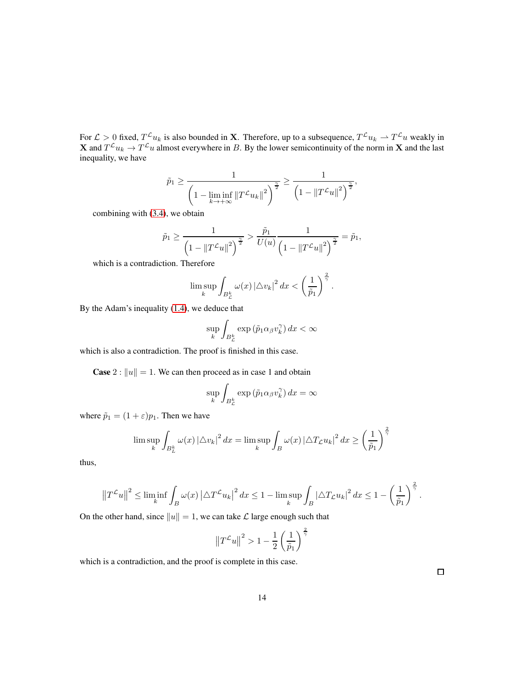For  $\mathcal{L} > 0$  fixed,  $T^{\mathcal{L}} u_k$  is also bounded in **X**. Therefore, up to a subsequence,  $T^{\mathcal{L}} u_k \rightharpoonup T^{\mathcal{L}} u$  weakly in **X** and  $T^{\mathcal{L}}u_k \to T^{\mathcal{L}}u$  almost everywhere in B. By the lower semicontinuity of the norm in **X** and the last inequality, we have

$$
\tilde{p}_1 \ge \frac{1}{\left(1 - \liminf_{k \to +\infty} \|T^{\mathcal{L}} u_k\|^2\right)^{\frac{\gamma}{2}}} \ge \frac{1}{\left(1 - \|T^{\mathcal{L}} u\|^2\right)^{\frac{\gamma}{2}}},
$$

combining with [\(3.4\)](#page-12-0), we obtain

$$
\tilde{p}_1 \ge \frac{1}{\left(1 - \|T^{\mathcal{L}}u\|^2\right)^{\frac{\gamma}{2}}} > \frac{\tilde{p}_1}{U(u)} \frac{1}{\left(1 - \|T^{\mathcal{L}}u\|^2\right)^{\frac{\gamma}{2}}} = \tilde{p}_1,
$$

which is a contradiction. Therefore

$$
\limsup_{k} \int_{B_{\mathcal{L}}^k} \omega(x) |\triangle v_k|^2 dx < \left(\frac{1}{\tilde{p}_1}\right)^{\frac{2}{\gamma}}.
$$

By the Adam's inequality [\(1.4\)](#page-3-0), we deduce that

$$
\sup_k \int_{B_{\mathcal{L}}^k} \exp\left(\tilde{p}_1 \alpha_\beta v_k^{\gamma}\right) dx < \infty
$$

which is also a contradiction. The proof is finished in this case.

**Case** 2 :  $||u|| = 1$ . We can then proceed as in case 1 and obtain

$$
\sup_{k} \int_{B_{\mathcal{L}}^{k}} \exp\left(\tilde{p}_{1} \alpha_{\beta} v_{k}^{\gamma}\right) dx = \infty
$$

where  $\tilde{p}_1 = (1 + \varepsilon)p_1$ . Then we have

$$
\lim \sup_{k} \int_{B_{L}^{k}} \omega(x) |\triangle v_{k}|^{2} dx = \lim \sup_{k} \int_{B} \omega(x) |\triangle T_{L} u_{k}|^{2} dx \ge \left(\frac{1}{\tilde{p}_{1}}\right)^{\frac{2}{\gamma}}
$$

thus,

$$
\left\|T^{\mathcal{L}}u\right\|^2 \leq \liminf_{k} \int_{B} \omega(x) \left|\Delta T^{\mathcal{L}}u_k\right|^2 dx \leq 1 - \limsup_{k} \int_{B} \left|\Delta T_{\mathcal{L}}u_k\right|^2 dx \leq 1 - \left(\frac{1}{\tilde{p}_1}\right)^{\frac{2}{\gamma}}.
$$

On the other hand, since  $||u|| = 1$ , we can take  $\mathcal L$  large enough such that

$$
\left\|T^{\mathcal{L}}u\right\|^2 > 1 - \frac{1}{2} \left(\frac{1}{\tilde{p}_1}\right)^{\frac{2}{\gamma}}
$$

which is a contradiction, and the proof is complete in this case.

 $\Box$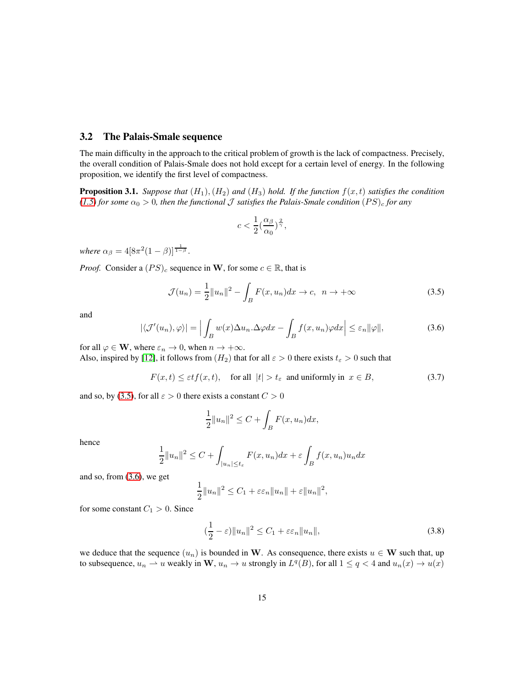#### 3.2 The Palais-Smale sequence

The main difficulty in the approach to the critical problem of growth is the lack of compactness. Precisely, the overall condition of Palais-Smale does not hold except for a certain level of energy. In the following proposition, we identify the first level of compactness.

<span id="page-14-2"></span>**Proposition 3.1.** *Suppose that*  $(H_1), (H_2)$  *and*  $(H_3)$  *hold. If the function*  $f(x, t)$  *satisfies the condition*  $(1.5)$  *for some*  $\alpha_0 > 0$ *, then the functional* J *satisfies the Palais-Smale condition*  $(PS)_c$  *for any* 

$$
c < \frac{1}{2} \left(\frac{\alpha_{\beta}}{\alpha_0}\right)^{\frac{2}{\gamma}},
$$

*where*  $\alpha_{\beta} = 4[8\pi^2(1-\beta)]^{\frac{1}{1-\beta}}$ .

*Proof.* Consider a  $(PS)_c$  sequence in W, for some  $c \in \mathbb{R}$ , that is

<span id="page-14-0"></span>
$$
\mathcal{J}(u_n) = \frac{1}{2} ||u_n||^2 - \int_B F(x, u_n) dx \to c, \ \ n \to +\infty
$$
\n(3.5)

and

<span id="page-14-1"></span>
$$
|\langle \mathcal{J}'(u_n), \varphi \rangle| = \Big| \int_B w(x) \Delta u_n \cdot \Delta \varphi dx - \int_B f(x, u_n) \varphi dx \Big| \le \varepsilon_n ||\varphi||, \tag{3.6}
$$

for all  $\varphi \in \mathbf{W}$ , where  $\varepsilon_n \to 0$ , when  $n \to +\infty$ .

Also, inspired by [\[12\]](#page-24-4), it follows from  $(H_2)$  that for all  $\varepsilon > 0$  there exists  $t_{\varepsilon} > 0$  such that

$$
F(x,t) \le \varepsilon t f(x,t), \quad \text{for all } |t| > t_{\varepsilon} \text{ and uniformly in } x \in B,
$$
\n(3.7)

and so, by [\(3.5\)](#page-14-0), for all  $\varepsilon > 0$  there exists a constant  $C > 0$ 

$$
\frac{1}{2}||u_n||^2 \le C + \int_B F(x, u_n)dx,
$$

hence

$$
\frac{1}{2}||u_n||^2 \le C + \int_{|u_n| \le t_\varepsilon} F(x, u_n) dx + \varepsilon \int_B f(x, u_n) u_n dx
$$

and so, from [\(3.6\)](#page-14-1), we get

$$
\frac{1}{2}||u_n||^2 \leq C_1 + \varepsilon \varepsilon_n ||u_n|| + \varepsilon ||u_n||^2,
$$

for some constant  $C_1 > 0$ . Since

$$
\left(\frac{1}{2} - \varepsilon\right) \|u_n\|^2 \le C_1 + \varepsilon \varepsilon_n \|u_n\|,\tag{3.8}
$$

we deduce that the sequence  $(u_n)$  is bounded in W. As consequence, there exists  $u \in W$  such that, up to subsequence,  $u_n \rightharpoonup u$  weakly in  $\mathbf{W}, u_n \to u$  strongly in  $L^q(B)$ , for all  $1 \le q < 4$  and  $u_n(x) \to u(x)$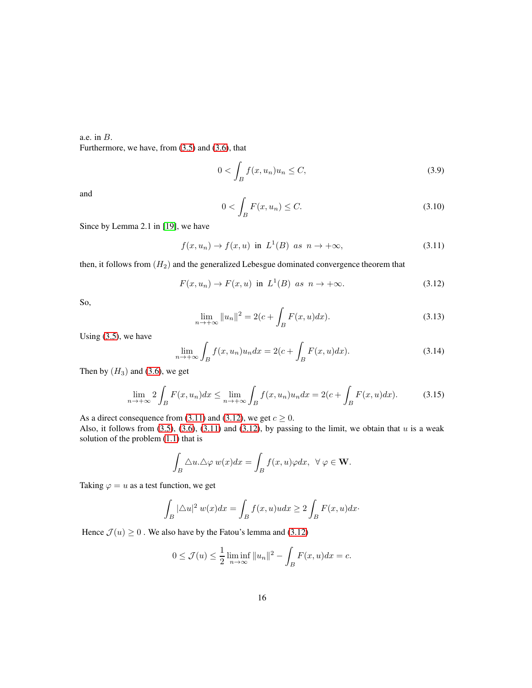### a.e. in B. Furthermore, we have, from [\(3.5\)](#page-14-0) and [\(3.6\)](#page-14-1), that

$$
0 < \int_{B} f(x, u_n) u_n \le C,\tag{3.9}
$$

and

$$
0 < \int_{B} F(x, u_n) \le C. \tag{3.10}
$$

Since by Lemma 2.1 in [\[19\]](#page-24-0), we have

<span id="page-15-1"></span>
$$
f(x, u_n) \to f(x, u) \text{ in } L^1(B) \text{ as } n \to +\infty,
$$
 (3.11)

then, it follows from  $(H_2)$  and the generalized Lebesgue dominated convergence theorem that

<span id="page-15-2"></span>
$$
F(x, u_n) \to F(x, u) \text{ in } L^1(B) \text{ as } n \to +\infty. \tag{3.12}
$$

So,

$$
\lim_{n \to +\infty} ||u_n||^2 = 2(c + \int_B F(x, u) dx).
$$
 (3.13)

Using [\(3.5\)](#page-14-0), we have

$$
\lim_{n \to +\infty} \int_{B} f(x, u_n) u_n dx = 2(c + \int_{B} F(x, u) dx). \tag{3.14}
$$

Then by  $(H_3)$  and [\(3.6\)](#page-14-1), we get

<span id="page-15-0"></span>
$$
\lim_{n \to +\infty} 2 \int_B F(x, u_n) dx \le \lim_{n \to +\infty} \int_B f(x, u_n) u_n dx = 2(c + \int_B F(x, u) dx). \tag{3.15}
$$

As a direct consequence from [\(3.11\)](#page-15-1) and [\(3.12\)](#page-15-2), we get  $c \ge 0$ .

Also, it follows from  $(3.5)$ ,  $(3.6)$ ,  $(3.11)$  and  $(3.12)$ , by passing to the limit, we obtain that u is a weak solution of the problem [\(1.1\)](#page-0-1) that is

$$
\int_B \triangle u. \triangle \varphi \, w(x) dx = \int_B f(x, u) \varphi dx, \ \ \forall \ \varphi \in \mathbf{W}.
$$

Taking  $\varphi = u$  as a test function, we get

$$
\int_{B} |\triangle u|^2 w(x) dx = \int_{B} f(x, u) u dx \ge 2 \int_{B} F(x, u) dx.
$$

Hence  $\mathcal{J}(u) \geq 0$ . We also have by the Fatou's lemma and [\(3.12\)](#page-15-2)

$$
0 \le \mathcal{J}(u) \le \frac{1}{2} \liminf_{n \to \infty} ||u_n||^2 - \int_B F(x, u) dx = c.
$$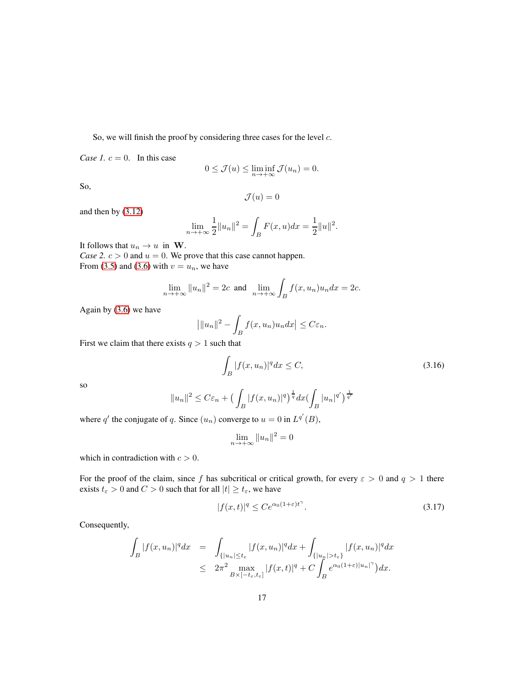So, we will finish the proof by considering three cases for the level  $c$ .

*Case 1.*  $c = 0$ . In this case

$$
0 \le \mathcal{J}(u) \le \liminf_{n \to +\infty} \mathcal{J}(u_n) = 0.
$$

So,

$$
\mathcal{J}(u)=0
$$

and then by [\(3.12\)](#page-15-2)

$$
\lim_{n \to +\infty} \frac{1}{2} ||u_n||^2 = \int_B F(x, u) dx = \frac{1}{2} ||u||^2.
$$

It follows that  $u_n \to u$  in W. *Case 2.*  $c > 0$  *and*  $u = 0$ *.* We prove that this case cannot happen. From [\(3.5\)](#page-14-0) and [\(3.6\)](#page-14-1) with  $v = u_n$ , we have

$$
\lim_{n \to +\infty} ||u_n||^2 = 2c \text{ and } \lim_{n \to +\infty} \int_B f(x, u_n)u_n dx = 2c.
$$

Again by [\(3.6\)](#page-14-1) we have

$$
\left| \|u_n\|^2 - \int_B f(x, u_n) u_n dx \right| \leq C \varepsilon_n.
$$

First we claim that there exists  $q > 1$  such that

$$
\int_{B} |f(x, u_n)|^q dx \le C,\tag{3.16}
$$

so

$$
||u_n||^2 \leq C\varepsilon_n + \left(\int_B |f(x, u_n)|^q\right)^{\frac{1}{q}} dx \left(\int_B |u_n|^{q'}\right)^{\frac{1}{q'}}
$$

where q' the conjugate of q. Since  $(u_n)$  converge to  $u = 0$  in  $L^{q'}(B)$ ,

$$
\lim_{n \to +\infty} \|u_n\|^2 = 0
$$

which in contradiction with  $c > 0$ .

For the proof of the claim, since f has subcritical or critical growth, for every  $\varepsilon > 0$  and  $q > 1$  there exists  $t_{\varepsilon} > 0$  and  $C > 0$  such that for all  $|t| \ge t_{\varepsilon}$ , we have

$$
|f(x,t)|^q \le Ce^{\alpha_0(1+\varepsilon)t^\gamma}.\tag{3.17}
$$

Consequently,

$$
\int_{B} |f(x, u_n)|^q dx = \int_{\{|u_n| \le t_{\varepsilon} \atop B \times [-t_{\varepsilon}, t_{\varepsilon}]} |f(x, u_n)|^q dx + \int_{\{|u_n| > t_{\varepsilon}\}} |f(x, u_n)|^q dx
$$
  

$$
\le 2\pi^2 \max_{B \times [-t_{\varepsilon}, t_{\varepsilon}]} |f(x, t)|^q + C \int_{B} e^{\alpha_0(1+\varepsilon)|u_n|^{\gamma}} dx.
$$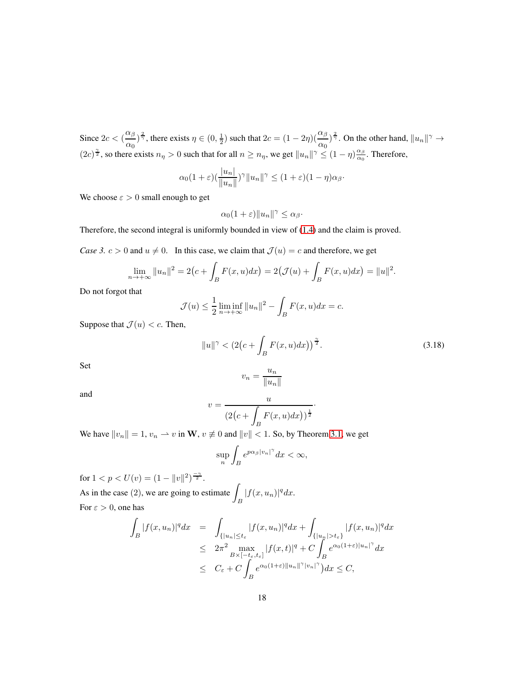Since  $2c < (\frac{\alpha_{\beta}}{2})$  $\frac{\alpha_{\beta}}{\alpha_0}$   $\frac{\alpha}{\gamma}$ , there exists  $\eta \in (0, \frac{1}{2})$  such that  $2c = (1 - 2\eta)(\frac{\alpha_{\beta}}{\alpha_0})^{\frac{2}{\gamma}}$ . On the other hand,  $||u_n||^{\gamma} \to$  $(2c)^{\frac{\gamma}{2}}$ , so there exists  $n_{\eta} > 0$  such that for all  $n \ge n_{\eta}$ , we get  $||u_n||^{\gamma} \le (1 - \eta) \frac{\alpha_{\beta}}{\alpha_0}$  $\frac{\alpha_{\beta}}{\alpha_0}$ . Therefore,

$$
\alpha_0(1+\varepsilon)(\frac{|u_n|}{\|u_n\|})^{\gamma}\|u_n\|^{\gamma} \le (1+\varepsilon)(1-\eta)\alpha_{\beta}.
$$

We choose  $\varepsilon > 0$  small enough to get

$$
\alpha_0(1+\varepsilon)\|u_n\|^\gamma\leq \alpha_\beta\cdot
$$

Therefore, the second integral is uniformly bounded in view of [\(1.4\)](#page-3-0) and the claim is proved.

*Case 3.*  $c > 0$  and  $u \neq 0$ . In this case, we claim that  $\mathcal{J}(u) = c$  and therefore, we get

$$
\lim_{n \to +\infty} \|u_n\|^2 = 2(c + \int_B F(x, u) dx) = 2(\mathcal{J}(u) + \int_B F(x, u) dx) = \|u\|^2.
$$

Do not forgot that

$$
\mathcal{J}(u) \le \frac{1}{2} \liminf_{n \to +\infty} ||u_n||^2 - \int_B F(x, u) dx = c.
$$

Suppose that  $\mathcal{J}(u) < c$ . Then,

<span id="page-17-0"></span>
$$
||u||^{\gamma} < (2(c + \int_{B} F(x, u) dx))^{\frac{\gamma}{2}}.
$$
 (3.18)

Set

$$
v_n = \frac{u_n}{\|u_n\|}
$$

and

$$
v = \frac{u}{\left(2\left(c + \int_B F(x, u)dx\right)\right)^{\frac{1}{2}}}.
$$

We have  $||v_n|| = 1$ ,  $v_n \rightharpoonup v$  in W,  $v \not\equiv 0$  and  $||v|| < 1$ . So, by Theorem [3.1,](#page-11-1) we get

$$
\sup_n \int_B e^{p\alpha_\beta |v_n|^\gamma} dx < \infty,
$$

for  $1 < p < U(v) = (1 - ||v||^2)^{\frac{-\gamma}{2}}$ . As in the case  $(2)$ , we are going to estimate  $\int\limits_B |f(x,u_n)|^q dx.$ For  $\varepsilon > 0$ , one has

$$
\int_{B} |f(x, u_n)|^q dx = \int_{\{|u_n| \leq t_{\varepsilon}} |f(x, u_n)|^q dx + \int_{\{|u_n| > t_{\varepsilon}\}} |f(x, u_n)|^q dx
$$
  
\n
$$
\leq 2\pi^2 \max_{B \times [-t_{\varepsilon}, t_{\varepsilon}]} |f(x, t)|^q + C \int_{B} e^{\alpha_0 (1 + \varepsilon) |u_n|^{\gamma}} dx
$$
  
\n
$$
\leq C_{\varepsilon} + C \int_{B} e^{\alpha_0 (1 + \varepsilon) ||u_n||^{\gamma} |v_n|^{\gamma}} dx \leq C,
$$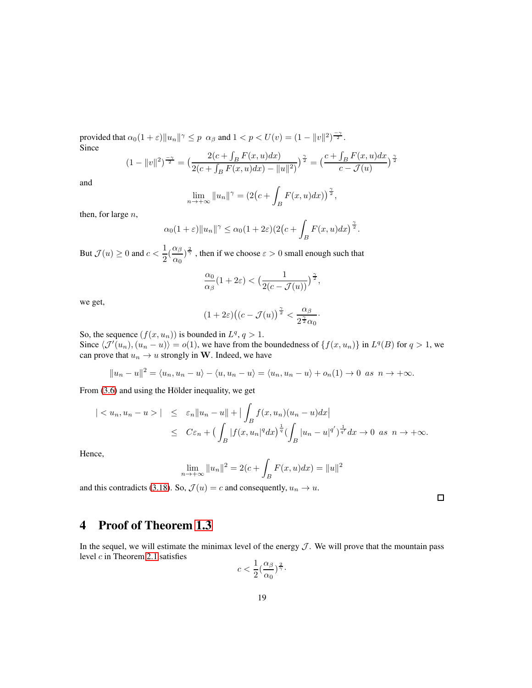provided that  $\alpha_0(1+\varepsilon) \|u_n\|^{\gamma} \leq p \ \alpha_\beta$  and  $1 < p < U(v) = (1 - \|v\|^2)^{\frac{-\gamma}{2}}$ . Since

$$
(1 - ||v||2)\frac{-\gamma}{2} = \left(\frac{2(c + \int_B F(x, u)dx)}{2(c + \int_B F(x, u)dx) - ||u||^2}\right)^{\frac{\gamma}{2}} = \left(\frac{c + \int_B F(x, u)dx}{c - \mathcal{J}(u)}\right)^{\frac{\gamma}{2}}
$$

and

$$
\lim_{n \to +\infty} \|u_n\|^{\gamma} = \left(2\left(c + \int_B F(x, u)dx\right)\right)^{\frac{\gamma}{2}},
$$

then, for large  $n$ ,

$$
\alpha_0(1+\varepsilon) \|u_n\|^{\gamma} \leq \alpha_0(1+2\varepsilon) (2\big(c+\int_B F(x,u)dx\big)^{\frac{\gamma}{2}}.
$$

But  $\mathcal{J}(u) \geq 0$  and  $c < \frac{1}{2}$  $\frac{1}{2}(\frac{\alpha_{\beta}}{\alpha_0}$  $\frac{\alpha_\beta}{\alpha_0}\big)^{\frac{2}{\gamma}}$  , then if we choose  $\varepsilon > 0$  small enough such that

$$
\frac{\alpha_0}{\alpha_\beta}(1+2\varepsilon) < \left(\frac{1}{2(c-\mathcal{J}(u))}\right)^{\frac{\gamma}{2}},
$$

we get,

$$
(1+2\varepsilon)\big((c-\mathcal{J}(u)\big)^{\frac{\gamma}{2}} < \frac{\alpha_\beta}{2^{\frac{\gamma}{2}}\alpha_0}.
$$

So, the sequence  $(f(x, u_n))$  is bounded in  $L^q$ ,  $q > 1$ .

Since  $\langle \mathcal{J}'(u_n), (u_n - u) \rangle = o(1)$ , we have from the boundedness of  $\{f(x, u_n)\}\$ in  $L^q(B)$  for  $q > 1$ , we can prove that  $u_n \to u$  strongly in W. Indeed, we have

$$
||u_n - u||^2 = \langle u_n, u_n - u \rangle - \langle u, u_n - u \rangle = \langle u_n, u_n - u \rangle + o_n(1) \to 0 \text{ as } n \to +\infty.
$$

From  $(3.6)$  and using the Hölder inequality, we get

$$
\begin{array}{rcl}\n| < u_n, u_n - u > \vert < \varepsilon_n \|u_n - u\| + \vert \int_B f(x, u_n)(u_n - u) dx \vert \\
& \leq < C\varepsilon_n + \big( \int_B |f(x, u_n|^q dx)^\frac{1}{q} \big( \int_B |u_n - u|^{q'} \big)^\frac{1}{q'} dx \to 0 \text{ as } n \to +\infty.\n\end{array}
$$

Hence,

$$
\lim_{n \to +\infty} ||u_n||^2 = 2(c + \int_B F(x, u) dx) = ||u||^2
$$

and this contradicts [\(3.18\)](#page-17-0). So,  $\mathcal{J}(u) = c$  and consequently,  $u_n \to u$ .

 $\Box$ 

# 4 Proof of Theorem [1.3](#page-4-1)

In the sequel, we will estimate the minimax level of the energy  $J$ . We will prove that the mountain pass level  $c$  in Theorem [2.1](#page-8-1) satisfies

$$
c<\frac{1}{2}(\frac{\alpha_\beta}{\alpha_0})^{\frac{2}{\gamma}}\cdot
$$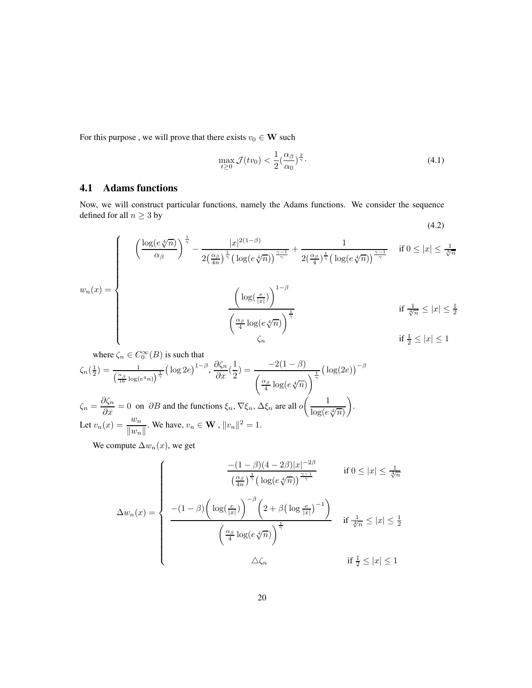For this purpose , we will prove that there exists  $v_0 \in \mathbf{W}$  such

<span id="page-19-0"></span>
$$
\max_{t \ge 0} \mathcal{J}(tv_0) < \frac{1}{2} \left( \frac{\alpha_\beta}{\alpha_0} \right)^{\frac{2}{\gamma}}.\tag{4.1}
$$

# 4.1 Adams functions

Now, we will construct particular functions, namely the Adams functions. We consider the sequence defined for all  $n\geq 3$  by (4.2)

$$
w_n(x) = \begin{cases} \frac{\left(\log(e\sqrt[4]{n})\right)^{\frac{1}{\gamma}} - \frac{|x|^{2(1-\beta)}}{2\left(\frac{\alpha}{4n}\right)^{\frac{1}{\gamma}}\left(\log(e\sqrt[4]{n})\right)^{\frac{\gamma-1}{\gamma}}}{\left(\log(e\sqrt[4]{n})\right)^{\frac{\gamma-1}{\gamma}}} + \frac{1}{2\left(\frac{\alpha}{4}\right)^{\frac{1}{\gamma}}\left(\log(e\sqrt[4]{n})\right)^{\frac{\gamma-1}{\gamma}}} & \text{if } 0 \le |x| \le \frac{1}{\sqrt[4]{n}} \\ & \frac{\left(\log\left(\frac{e}{|x|}\right)\right)^{1-\beta}}{\left(\frac{\alpha}{4}\log(e\sqrt[4]{n})\right)^{\frac{1}{\gamma}}} & \text{if } \frac{1}{\sqrt[4]{n}} \le |x| \le \frac{1}{2} \end{cases}
$$

where 
$$
\zeta_n \in C_0^{\infty}(B)
$$
 is such that  
\n
$$
\zeta_n(\frac{1}{2}) = \frac{1}{\left(\frac{\alpha_{\beta}}{16}\log(e^{4n})\right)^{\frac{1}{\gamma}}} \left(\log 2e\right)^{1-\beta}, \frac{\partial \zeta_n}{\partial x}(\frac{1}{2}) = \frac{-2(1-\beta)}{\left(\frac{\alpha_{\beta}}{4}\log(e\sqrt[4]{n})\right)^{\frac{1}{\gamma}}} \left(\log(2e)\right)^{-\beta}
$$
\n
$$
\zeta_n = \frac{\partial \zeta_n}{\partial x} = 0 \text{ on } \partial B \text{ and the functions } \xi_n, \nabla \xi_n, \Delta \xi_n \text{ are all } o\left(\frac{1}{\log(e\sqrt[4]{n})}\right).
$$
\nLet  $v_n(x) = \frac{w_n}{\|w_n\|}$ . We have,  $v_n \in \mathbf{W}$ ,  $||v_n||^2 = 1$ .

We compute  $\Delta w_n(x)$ , we get

$$
\Delta w_n(x) = \begin{cases}\n\frac{-(1-\beta)(4-2\beta)|x|^{-2\beta}}{\left(\frac{\alpha_\beta}{4n}\right)^{\frac{1}{\gamma}}\left(\log(e\sqrt[4]{n})\right)^{\frac{\gamma-1}{\gamma}}} & \text{if } 0 \le |x| \le \frac{1}{\sqrt[4]{n}} \\
\frac{-(1-\beta)\left(\log(\frac{e}{|x|})\right)^{-\beta}\left(2+\beta\left(\log\frac{e}{|x|}\right)^{-1}\right)}{\left(\frac{\alpha_\beta}{4}\log(e\sqrt[4]{n})\right)^{\frac{1}{\gamma}}} & \text{if } \frac{1}{\sqrt[4]{n}} \le |x| \le \frac{1}{2} \\
\Delta \zeta_n & \text{if } \frac{1}{2} \le |x| \le 1\n\end{cases}
$$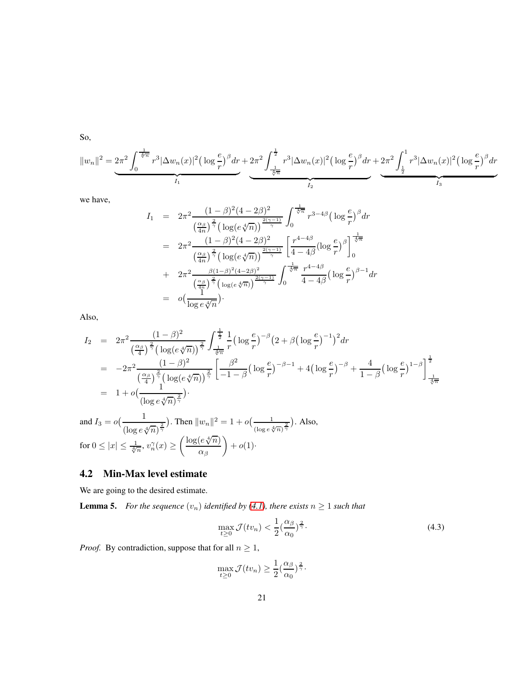So,

$$
||w_n||^2 = 2\pi^2 \int_0^{\frac{1}{\sqrt[4]{n}}} r^3 |\Delta w_n(x)|^2 \left(\log \frac{e}{r}\right)^\beta dr + 2\pi^2 \int_{\frac{1}{\sqrt[4]{n}}}^{\frac{1}{2}} r^3 |\Delta w_n(x)|^2 \left(\log \frac{e}{r}\right)^\beta dr + 2\pi^2 \int_{\frac{1}{2}}^1 r^3 |\Delta w_n(x)|^2 \left(\log \frac{e}{r}\right)^\beta dr
$$

we have,

$$
I_{1} = 2\pi^{2} \frac{(1-\beta)^{2}(4-2\beta)^{2}}{\left(\frac{\alpha_{\beta}}{4n}\right)^{\frac{2}{\gamma}}\left(\log(e\sqrt[4]{n})\right)^{\frac{2(\gamma-1)}{\gamma}}}\int_{0}^{\frac{1}{\sqrt[4]{n}}} r^{3-4\beta} \left(\log\frac{e}{r}\right)^{\beta} dr
$$
  
\n
$$
= 2\pi^{2} \frac{(1-\beta)^{2}(4-2\beta)^{2}}{\left(\frac{\alpha_{\beta}}{4n}\right)^{\frac{2}{\gamma}}\left(\log(e\sqrt[4]{n})\right)^{\frac{2(\gamma-1)}{\gamma}}}\left[\frac{r^{4-4\beta}}{4-4\beta}\left(\log\frac{e}{r}\right)^{\beta}\right]_{0}^{\frac{1}{\sqrt[4]{n}}}
$$
  
\n
$$
+ 2\pi^{2} \frac{\beta(1-\beta)^{2}(4-2\beta)^{2}}{\left(\frac{\alpha_{\beta}}{4n}\right)^{\frac{2}{\gamma}}\left(\log(e\sqrt[4]{n})\right)^{\frac{2(\gamma-1)}{\gamma}}}\int_{0}^{\frac{1}{\sqrt[4]{n}}} \frac{r^{4-4\beta}}{4-4\beta}\left(\log\frac{e}{r}\right)^{\beta-1} dr
$$
  
\n
$$
= o\left(\frac{1}{\log e\sqrt[4]{n}}\right).
$$

Also,

$$
I_2 = 2\pi^2 \frac{(1-\beta)^2}{\left(\frac{\alpha_\beta}{4}\right)^{\frac{2}{\gamma}} \left(\log(e\sqrt[4]{n})\right)^{\frac{2}{\gamma}}} \int_{\frac{1}{\sqrt[4]{n}}}^{\frac{1}{2}} \frac{1}{r} \left(\log\frac{e}{r}\right)^{-\beta} \left(2+\beta\left(\log\frac{e}{r}\right)^{-1}\right)^2 dr
$$
  
\n
$$
= -2\pi^2 \frac{(1-\beta)^2}{\left(\frac{\alpha_\beta}{4}\right)^{\frac{2}{\gamma}} \left(\log(e\sqrt[4]{n})\right)^{\frac{2}{\gamma}}} \left[\frac{\beta^2}{-1-\beta}\left(\log\frac{e}{r}\right)^{-\beta-1} + 4\left(\log\frac{e}{r}\right)^{-\beta} + \frac{4}{1-\beta}\left(\log\frac{e}{r}\right)^{1-\beta}\right]^{\frac{1}{2}}
$$
  
\n
$$
= 1 + o\left(\frac{1}{\left(\log e\sqrt[4]{n}\right)^{\frac{2}{\gamma}}}\right).
$$
  
\nand  $I_3 = o\left(\frac{1}{\left(\frac{1}{\log e\sqrt[4]{n}}\right)^{\frac{2}{\gamma}}}\right)$ . Then  $||w_n||^2 = 1 + o\left(\frac{1}{\left(\frac{1}{\log e\sqrt[4]{n}}\right)^{\frac{2}{\gamma}}}\right)$ . Also,

 $\frac{1}{(\log e \sqrt[4]{n})^{\frac{2}{\gamma}}})$ . Then  $||w_n||^2 = 1 + o(\frac{1}{(\log e \sqrt[4]{n})^{\frac{2}{\gamma}}})$  $(\log e \sqrt[4]{n})^{\frac{2}{\gamma}}$ for  $0 \leq |x| \leq \frac{1}{\sqrt[4]{n}}, v_n^{\gamma}(x) \geq \left(\frac{\log(e\sqrt[4]{n})}{\alpha\right)$  $\alpha_{\beta}$  $\Big) + o(1)$ 

## 4.2 Min-Max level estimate

We are going to the desired estimate.

**Lemma 5.** *For the sequence*  $(v_n)$  *identified by [\(4.1\)](#page-19-0), there exists*  $n \geq 1$  *such that* 

$$
\max_{t \ge 0} \mathcal{J}(tv_n) < \frac{1}{2} \left(\frac{\alpha_\beta}{\alpha_0}\right)^{\frac{2}{\gamma}}.\tag{4.3}
$$

*Proof.* By contradiction, suppose that for all  $n \geq 1$ ,

$$
\max_{t \ge 0} \mathcal{J}(tv_n) \ge \frac{1}{2} \left(\frac{\alpha_\beta}{\alpha_0}\right)^{\frac{2}{\gamma}}.
$$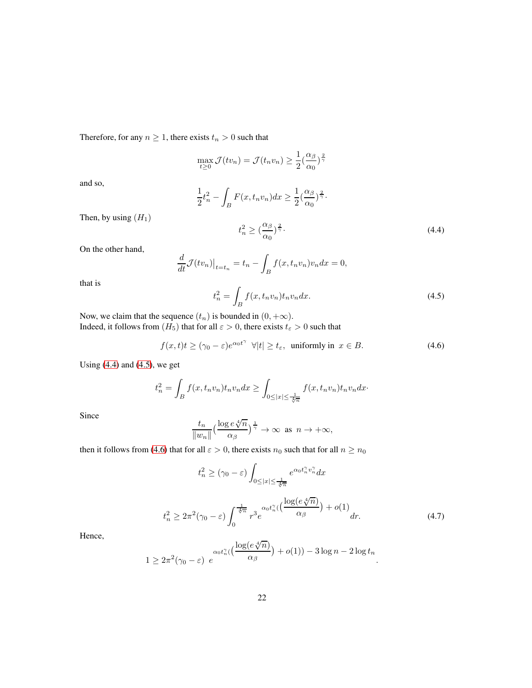Therefore, for any  $n \geq 1$ , there exists  $t_n > 0$  such that

$$
\max_{t \ge 0} \mathcal{J}(tv_n) = \mathcal{J}(t_n v_n) \ge \frac{1}{2} \left(\frac{\alpha_\beta}{\alpha_0}\right)^{\frac{2}{\gamma}}
$$

and so,

$$
\frac{1}{2}t_n^2 - \int_B F(x, t_n v_n) dx \ge \frac{1}{2} \left(\frac{\alpha_\beta}{\alpha_0}\right)^{\frac{2}{\gamma}}.
$$

Then, by using  $(H_1)$ 

<span id="page-21-0"></span>
$$
t_n^2 \ge \left(\frac{\alpha_\beta}{\alpha_0}\right)^{\frac{2}{\gamma}}.\tag{4.4}
$$

On the other hand,

$$
\frac{d}{dt}\mathcal{J}(tv_n)|_{t=t_n} = t_n - \int_B f(x, t_n v_n)v_n dx = 0,
$$

that is

<span id="page-21-1"></span>
$$
t_n^2 = \int_B f(x, t_n v_n) t_n v_n dx.
$$
\n(4.5)

Now, we claim that the sequence  $(t_n)$  is bounded in  $(0, +\infty)$ . Indeed, it follows from  $(H_5)$  that for all  $\varepsilon > 0$ , there exists  $t_{\varepsilon} > 0$  such that

<span id="page-21-2"></span>
$$
f(x,t)t \ge (\gamma_0 - \varepsilon)e^{\alpha_0 t^{\gamma}} \quad \forall |t| \ge t_{\varepsilon}, \text{ uniformly in } x \in B. \tag{4.6}
$$

Using  $(4.4)$  and  $(4.5)$ , we get

$$
t_n^2 = \int_B f(x, t_n v_n) t_n v_n dx \ge \int_{0 \le |x| \le \frac{1}{\sqrt[4]{n}} } f(x, t_n v_n) t_n v_n dx.
$$

Since

$$
\frac{t_n}{\|w_n\|} \left(\frac{\log e \sqrt[4]{n}}{\alpha \beta}\right)^{\frac{1}{\gamma}} \to \infty \text{ as } n \to +\infty,
$$

then it follows from [\(4.6\)](#page-21-2) that for all  $\varepsilon > 0$ , there exists  $n_0$  such that for all  $n \ge n_0$ 

$$
t_n^2 \ge (\gamma_0 - \varepsilon) \int_{0 \le |x| \le \frac{1}{\sqrt[4]{\pi}}} e^{\alpha_0 t_n^{\gamma} v_n^{\gamma}} dx
$$
  

$$
t_n^2 \ge 2\pi^2 (\gamma_0 - \varepsilon) \int_0^{\frac{1}{\sqrt[4]{\pi}}} r^3 e^{\alpha_0 t_n^{\gamma}} \left( \frac{\log(e\sqrt[4]{n})}{\alpha_\beta}\right) + o(1) \Big|_{dr.}
$$
 (4.7)

Hence,

<span id="page-21-3"></span>
$$
1 \ge 2\pi^2(\gamma_0 - \varepsilon) e^{\alpha_0 t_n^{\gamma}(\frac{\log(e\sqrt[4]{n})}{\alpha_{\beta}})} + o(1)) - 3\log n - 2\log t_n.
$$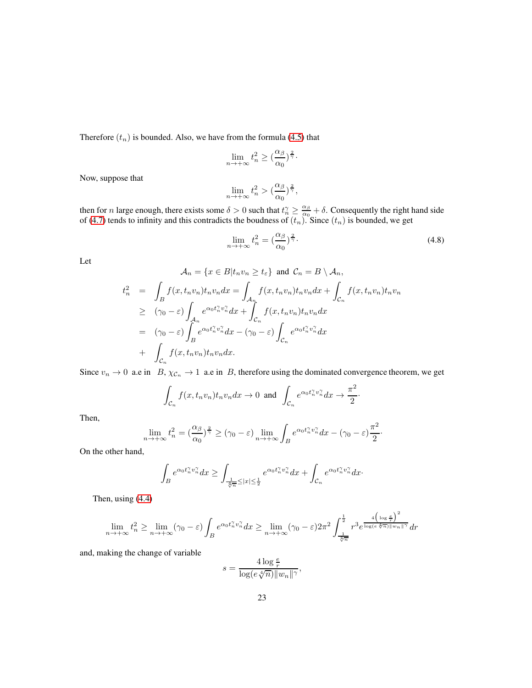Therefore  $(t_n)$  is bounded. Also, we have from the formula [\(4.5\)](#page-21-1) that

$$
\lim_{n \to +\infty} t_n^2 \ge (\frac{\alpha_\beta}{\alpha_0})^{\frac{2}{\gamma}}.
$$

Now, suppose that

$$
\lim_{n \to +\infty} t_n^2 > \left(\frac{\alpha_\beta}{\alpha_0}\right)^{\frac{2}{\gamma}},
$$

then for *n* large enough, there exists some  $\delta > 0$  such that  $t_n^{\gamma} \geq \frac{\alpha_{\beta}}{\alpha_0}$  $\frac{\alpha_{\beta}}{\alpha_0} + \delta$ . Consequently the right hand side of [\(4.7\)](#page-21-3) tends to infinity and this contradicts the boudness of  $(t_n)$ . Since  $(t_n)$  is bounded, we get

$$
\lim_{n \to +\infty} t_n^2 = \left(\frac{\alpha_\beta}{\alpha_0}\right)^{\frac{2}{\gamma}}.
$$
\n(4.8)

Let

$$
\mathcal{A}_n = \{x \in B | t_n v_n \ge t_{\varepsilon} \} \text{ and } \mathcal{C}_n = B \setminus \mathcal{A}_n,
$$
  
\n
$$
t_n^2 = \int_B f(x, t_n v_n) t_n v_n dx = \int_{\mathcal{A}_n} f(x, t_n v_n) t_n v_n dx + \int_{\mathcal{C}_n} f(x, t_n v_n) t_n v_n dx
$$
  
\n
$$
\ge (\gamma_0 - \varepsilon) \int_{\mathcal{A}_n} e^{\alpha_0 t_n^{\gamma} v_n^{\gamma}} dx + \int_{\mathcal{C}_n} f(x, t_n v_n) t_n v_n dx
$$
  
\n
$$
= (\gamma_0 - \varepsilon) \int_B e^{\alpha_0 t_n^{\gamma} v_n^{\gamma}} dx - (\gamma_0 - \varepsilon) \int_{\mathcal{C}_n} e^{\alpha_0 t_n^{\gamma} v_n^{\gamma}} dx
$$
  
\n
$$
+ \int_{\mathcal{C}_n} f(x, t_n v_n) t_n v_n dx.
$$

Since  $v_n \to 0$  a.e in  $B$ ,  $\chi_{\mathcal{C}_n} \to 1$  a.e in  $B$ , therefore using the dominated convergence theorem, we get

$$
\int_{\mathcal{C}_n} f(x, t_n v_n) t_n v_n dx \to 0 \text{ and } \int_{\mathcal{C}_n} e^{\alpha_0 t_n^{\gamma} v_n^{\gamma}} dx \to \frac{\pi^2}{2}.
$$

Then,

$$
\lim_{n \to +\infty} t_n^2 = \left(\frac{\alpha_\beta}{\alpha_0}\right)^{\frac{2}{\gamma}} \ge (\gamma_0 - \varepsilon) \lim_{n \to +\infty} \int_B e^{\alpha_0 t_n^{\gamma} v_n^{\gamma}} dx - (\gamma_0 - \varepsilon) \frac{\pi^2}{2}.
$$

On the other hand,

$$
\int_{B}e^{\alpha_0t_n^{\gamma}v_n^{\gamma}}dx\geq \int_{\frac{1}{\sqrt[4]{n}}\leq |x|\leq \frac{1}{2}}e^{\alpha_0t_n^{\gamma}v_n^{\gamma}}dx+\int_{\mathcal{C}_n}e^{\alpha_0t_n^{\gamma}v_n^{\gamma}}dx\cdot
$$

Then, using [\(4.4\)](#page-21-0)

$$
\lim_{n \to +\infty} t_n^2 \ge \lim_{n \to +\infty} (\gamma_0 - \varepsilon) \int_B e^{\alpha_0 t_n^{\gamma} v_n^{\gamma}} dx \ge \lim_{n \to +\infty} (\gamma_0 - \varepsilon) 2\pi^2 \int_{\frac{1}{\sqrt[4]{n}}}^{\frac{1}{2}} r^3 e^{\frac{4\left(\log \frac{e}{r}\right)^2}{\log(e\sqrt[4]{n}) ||w_n||^{\gamma}}} dr
$$

and, making the change of variable

$$
s = \frac{4\log\frac{e}{r}}{\log(e\sqrt[4]{n})||w_n||^{\gamma}},
$$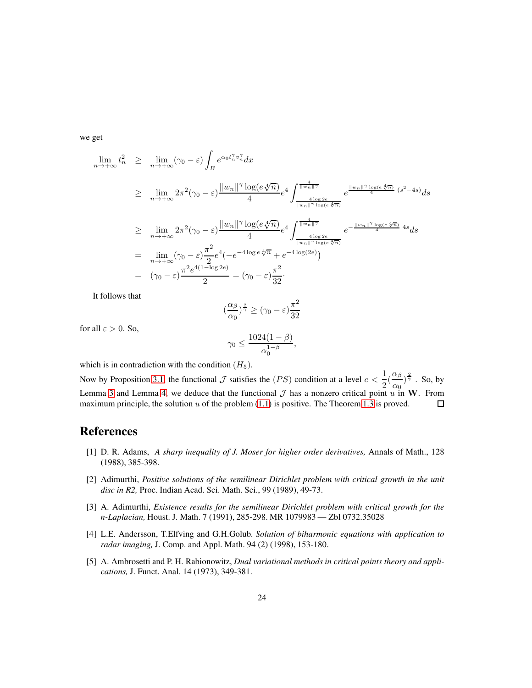we get

$$
\lim_{n \to +\infty} t_n^2 \geq \lim_{n \to +\infty} (\gamma_0 - \varepsilon) \int_B e^{\alpha_0 t_n^{\gamma} v_n^{\gamma}} dx
$$
\n
$$
\geq \lim_{n \to +\infty} 2\pi^2 (\gamma_0 - \varepsilon) \frac{\|w_n\|^{\gamma} \log(e\sqrt[4]{n})}{4} e^4 \int_{\frac{4\log 2e}{\|w_n\|^{\gamma} \log(e\sqrt[4]{n})}}^{\frac{4}{\|w_n\|^{\gamma}} e^4} e^{\frac{\|w_n\|^{\gamma} \log(e\sqrt[4]{n})}{4}} e^{\frac{2\pi i}{\|w_n\|^{\gamma} \log(e\sqrt[4]{n})}} e^{\frac{2\pi i}{\|w_n\|^{\gamma} \log(e\sqrt[4]{n})}} dx
$$
\n
$$
\geq \lim_{n \to +\infty} 2\pi^2 (\gamma_0 - \varepsilon) \frac{\|w_n\|^{\gamma} \log(e\sqrt[4]{n})}{4} e^4 \int_{\frac{4\log 2e}{\|w_n\|^{\gamma} \log(e\sqrt[4]{n})}}^{\frac{4}{\|w_n\|^{\gamma} \log(e\sqrt[4]{n})}} e^{-\frac{\|w_n\|^{\gamma} \log(e\sqrt[4]{n})}{4} 4s} ds
$$
\n
$$
= \lim_{n \to +\infty} (\gamma_0 - \varepsilon) \frac{\pi^2}{2} e^4 (-e^{-4\log e\sqrt[4]{n})} + e^{-4\log(2e)})
$$
\n
$$
= (\gamma_0 - \varepsilon) \frac{\pi^2 e^{4(1 - \log 2e)}}{2} = (\gamma_0 - \varepsilon) \frac{\pi^2}{32}.
$$

It follows that

$$
\left(\frac{\alpha_{\beta}}{\alpha_0}\right)^{\frac{2}{\gamma}} \ge (\gamma_0 - \varepsilon) \frac{\pi^2}{32}
$$

for all  $\varepsilon > 0$ . So,

$$
\gamma_0 \le \frac{1024(1-\beta)}{\alpha_0^{1-\beta}}
$$

,

which is in contradiction with the condition  $(H_5)$ .

Now by Proposition [3.1,](#page-14-2) the functional  $\mathcal J$  satisfies the  $(PS)$  condition at a level  $c < \frac{1}{2}$  $\frac{1}{2}(\frac{\alpha_{\beta}}{\alpha_0}$  $\frac{\alpha_{\beta}}{\alpha_0}$   $\frac{2}{\gamma}$  . So, by Lemma [3](#page-9-0) and Lemma [4,](#page-10-1) we deduce that the functional  $\mathcal J$  has a nonzero critical point  $u$  in W. From maximum principle, the solution  $u$  of the problem (1.1) is positive. The Theorem 1.3 is proved. maximum principle, the solution  $u$  of the problem [\(1.1\)](#page-0-1) is positive. The Theorem [1.3](#page-4-1) is proved.

## <span id="page-23-1"></span>References

- [1] D. R. Adams, *A sharp inequality of J. Moser for higher order derivatives,* Annals of Math., 128 (1988), 385-398.
- <span id="page-23-0"></span>[2] Adimurthi, *Positive solutions of the semilinear Dirichlet problem with critical growth in the unit disc in R2,* Proc. Indian Acad. Sci. Math. Sci., 99 (1989), 49-73.
- [3] A. Adimurthi, *Existence results for the semilinear Dirichlet problem with critical growth for the n-Laplacian,* Houst. J. Math. 7 (1991), 285-298. MR 1079983 — Zbl 0732.35028
- <span id="page-23-2"></span>[4] L.E. Andersson, T.Elfving and G.H.Golub. *Solution of biharmonic equations with application to radar imaging,* J. Comp. and Appl. Math. 94 (2) (1998), 153-180.
- <span id="page-23-3"></span>[5] A. Ambrosetti and P. H. Rabionowitz, *Dual variational methods in critical points theory and applications,* J. Funct. Anal. 14 (1973), 349-381.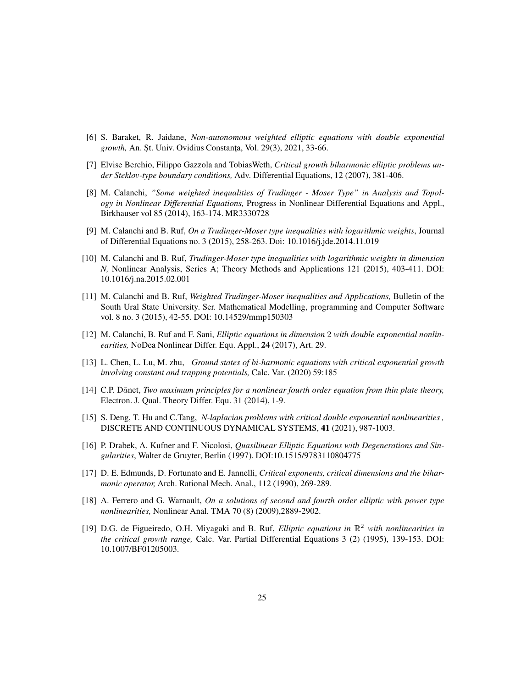- <span id="page-24-7"></span><span id="page-24-6"></span>[6] S. Baraket, R. Jaidane, *Non-autonomous weighted elliptic equations with double exponential* growth, An. Şt. Univ. Ovidius Constanța, Vol. 29(3), 2021, 33-66.
- [7] Elvise Berchio, Filippo Gazzola and TobiasWeth, *Critical growth biharmonic elliptic problems under Steklov-type boundary conditions,* Adv. Differential Equations, 12 (2007), 381-406.
- [8] M. Calanchi, *"Some weighted inequalities of Trudinger Moser Type" in Analysis and Topology in Nonlinear Differential Equations,* Progress in Nonlinear Differential Equations and Appl., Birkhauser vol 85 (2014), 163-174. MR3330728
- <span id="page-24-2"></span><span id="page-24-1"></span>[9] M. Calanchi and B. Ruf, *On a Trudinger-Moser type inequalities with logarithmic weights*, Journal of Differential Equations no. 3 (2015), 258-263. Doi: 10.1016/j.jde.2014.11.019
- [10] M. Calanchi and B. Ruf, *Trudinger-Moser type inequalities with logarithmic weights in dimension N,* Nonlinear Analysis, Series A; Theory Methods and Applications 121 (2015), 403-411. DOI: 10.1016/j.na.2015.02.001
- <span id="page-24-3"></span>[11] M. Calanchi and B. Ruf, *Weighted Trudinger-Moser inequalities and Applications,* Bulletin of the South Ural State University. Ser. Mathematical Modelling, programming and Computer Software vol. 8 no. 3 (2015), 42-55. DOI: 10.14529/mmp150303
- <span id="page-24-4"></span>[12] M. Calanchi, B. Ruf and F. Sani, *Elliptic equations in dimension* 2 *with double exponential nonlinearities,* NoDea Nonlinear Differ. Equ. Appl., 24 (2017), Art. 29.
- <span id="page-24-9"></span>[13] L. Chen, L. Lu, M. zhu, *Ground states of bi-harmonic equations with critical exponential growth involving constant and trapping potentials,* Calc. Var. (2020) 59:185
- <span id="page-24-11"></span>[14] C.P. Dănet, *Two maximum principles for a nonlinear fourth order equation from thin plate theory*, Electron. J. Qual. Theory Differ. Equ. 31 (2014), 1-9.
- <span id="page-24-5"></span>[15] S. Deng, T. Hu and C.Tang, *N-laplacian problems with critical double exponential nonlinearities ,* DISCRETE AND CONTINUOUS DYNAMICAL SYSTEMS, 41 (2021), 987-1003.
- <span id="page-24-10"></span>[16] P. Drabek, A. Kufner and F. Nicolosi, *Quasilinear Elliptic Equations with Degenerations and Singularities*, Walter de Gruyter, Berlin (1997). DOI:10.1515/9783110804775
- <span id="page-24-8"></span>[17] D. E. Edmunds, D. Fortunato and E. Jannelli, *Critical exponents, critical dimensions and the biharmonic operator,* Arch. Rational Mech. Anal., 112 (1990), 269-289.
- <span id="page-24-12"></span>[18] A. Ferrero and G. Warnault, *On a solutions of second and fourth order elliptic with power type nonlinearities,* Nonlinear Anal. TMA 70 (8) (2009),2889-2902.
- <span id="page-24-0"></span>[19] D.G. de Figueiredo, O.H. Miyagaki and B. Ruf, *Elliptic equations in* R <sup>2</sup> *with nonlinearities in the critical growth range,* Calc. Var. Partial Differential Equations 3 (2) (1995), 139-153. DOI: 10.1007/BF01205003.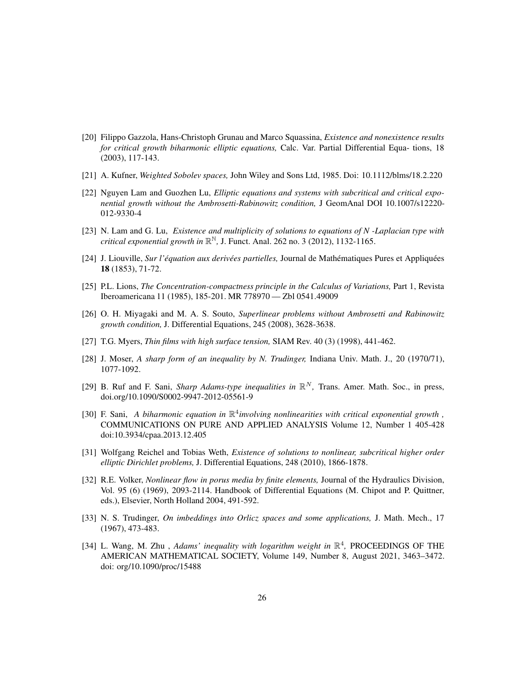- <span id="page-25-5"></span>[20] Filippo Gazzola, Hans-Christoph Grunau and Marco Squassina, *Existence and nonexistence results for critical growth biharmonic elliptic equations,* Calc. Var. Partial Differential Equa- tions, 18 (2003), 117-143.
- <span id="page-25-4"></span><span id="page-25-0"></span>[21] A. Kufner, *Weighted Sobolev spaces,* John Wiley and Sons Ltd, 1985. Doi: 10.1112/blms/18.2.220
- [22] Nguyen Lam and Guozhen Lu, *Elliptic equations and systems with subcritical and critical exponential growth without the Ambrosetti-Rabinowitz condition,* J GeomAnal DOI 10.1007/s12220- 012-9330-4
- <span id="page-25-11"></span>[23] N. Lam and G. Lu, *Existence and multiplicity of solutions to equations of N -Laplacian type with critical exponential growth in* R <sup>N</sup>*,* J. Funct. Anal. 262 no. 3 (2012), 1132-1165.
- <span id="page-25-12"></span>[24] J. Liouville, *Sur l'equation aux deriv ´ ees partielles, ´* Journal de Math´ematiques Pures et Appliqu´ees 18 (1853), 71-72.
- <span id="page-25-1"></span>[25] P.L. Lions, *The Concentration-compactness principle in the Calculus of Variations,* Part 1, Revista Iberoamericana 11 (1985), 185-201. MR 778970 — Zbl 0541.49009
- [26] O. H. Miyagaki and M. A. S. Souto, *Superlinear problems without Ambrosetti and Rabinowitz growth condition,* J. Differential Equations, 245 (2008), 3628-3638.
- <span id="page-25-10"></span><span id="page-25-2"></span>[27] T.G. Myers, *Thin films with high surface tension,* SIAM Rev. 40 (3) (1998), 441-462.
- <span id="page-25-7"></span>[28] J. Moser, *A sharp form of an inequality by N. Trudinger,* Indiana Univ. Math. J., 20 (1970/71), 1077-1092.
- [29] B. Ruf and F. Sani, *Sharp Adams-type inequalities in*  $\mathbb{R}^N$ , Trans. Amer. Math. Soc., in press, doi.org/10.1090/S0002-9947-2012-05561-9
- <span id="page-25-8"></span>[30] F. Sani, *A biharmonic equation in* R 4 *involving nonlinearities with critical exponential growth ,* COMMUNICATIONS ON PURE AND APPLIED ANALYSIS Volume 12, Number 1 405-428 doi:10.3934/cpaa.2013.12.405
- <span id="page-25-6"></span>[31] Wolfgang Reichel and Tobias Weth, *Existence of solutions to nonlinear, subcritical higher order elliptic Dirichlet problems,* J. Differential Equations, 248 (2010), 1866-1878.
- [32] R.E. Volker, *Nonlinear flow in porus media by finite elements,* Journal of the Hydraulics Division, Vol. 95 (6) (1969), 2093-2114. Handbook of Differential Equations (M. Chipot and P. Quittner, eds.), Elsevier, North Holland 2004, 491-592.
- <span id="page-25-3"></span>[33] N. S. Trudinger, *On imbeddings into Orlicz spaces and some applications,* J. Math. Mech., 17 (1967), 473-483.
- <span id="page-25-9"></span>[34] L. Wang, M. Zhu, Adams' inequality with logarithm weight in  $\mathbb{R}^4$ , PROCEEDINGS OF THE AMERICAN MATHEMATICAL SOCIETY, Volume 149, Number 8, August 2021, 3463–3472. doi: org/10.1090/proc/15488